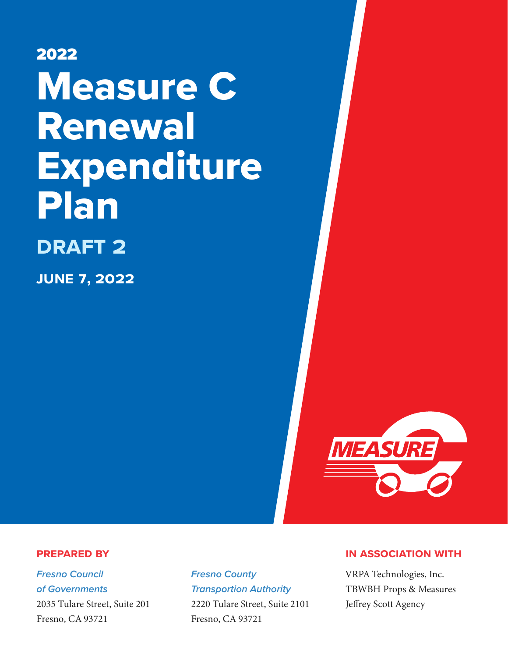2022 Measure C Renewal Expenditure Plan **draft 2 june** 7**, 2022**



#### **Prepared by**

*Fresno Council of Governments* [2035 Tulare Street, Suite 201](https://www.google.com/maps/place/Fresno+Council+of+Governments/@36.734462,-119.7917984,17z/data=!3m1!4b1!4m5!3m4!1s0x8094609fdb336ca3:0x7e7c819ab2d10d1b!8m2!3d36.7344437!4d-119.7895886) [Fresno, CA 93721](https://www.google.com/maps/place/Fresno+Council+of+Governments/@36.734462,-119.7917984,17z/data=!3m1!4b1!4m5!3m4!1s0x8094609fdb336ca3:0x7e7c819ab2d10d1b!8m2!3d36.7344437!4d-119.7895886)

*Fresno County Transportion Authority* [2220 Tulare Street, Suite 2101](https://www.google.com/maps/place/Fresno+County+Transportation+Authority/@36.7351782,-119.7891388,17z/data=!3m1!4b1!4m5!3m4!1s0x80945e203fb183b1:0x41e19c952e1fb05!8m2!3d36.7351739!4d-119.7869448) [Fresno, CA 93721](https://www.google.com/maps/place/Fresno+County+Transportation+Authority/@36.7351782,-119.7891388,17z/data=!3m1!4b1!4m5!3m4!1s0x80945e203fb183b1:0x41e19c952e1fb05!8m2!3d36.7351739!4d-119.7869448)

#### **in association with**

VRPA Technologies, Inc. TBWBH Props & Measures Jeffrey Scott Agency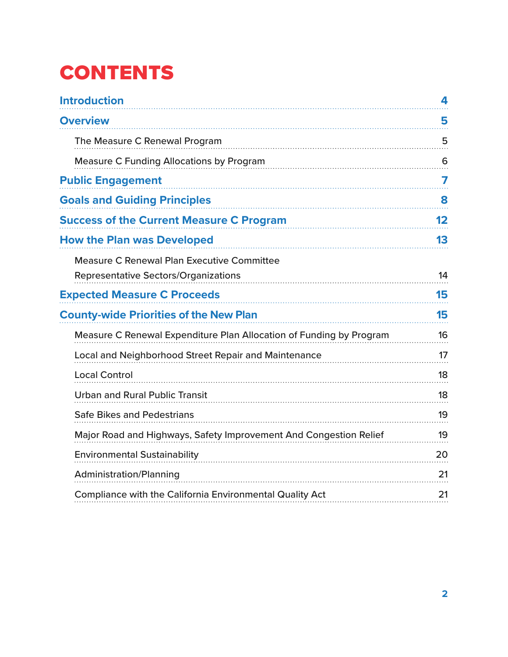# **CONTENTS**

| <b>Introduction</b>                                                                              | 4       |
|--------------------------------------------------------------------------------------------------|---------|
| <b>Overview</b>                                                                                  | 5       |
| The Measure C Renewal Program                                                                    | 5       |
| <b>Measure C Funding Allocations by Program</b>                                                  | 6       |
| <b>Public Engagement</b>                                                                         | 7       |
| <b>Goals and Guiding Principles</b>                                                              | 8       |
| <b>Success of the Current Measure C Program</b>                                                  | $12 \,$ |
| <b>How the Plan was Developed</b>                                                                | 13      |
| <b>Measure C Renewal Plan Executive Committee</b><br><b>Representative Sectors/Organizations</b> | 14      |
| <b>Expected Measure C Proceeds</b>                                                               | 15      |
| <b>County-wide Priorities of the New Plan</b>                                                    | 15      |
| Measure C Renewal Expenditure Plan Allocation of Funding by Program                              | 16      |
| Local and Neighborhood Street Repair and Maintenance                                             | 17      |
| <b>Local Control</b>                                                                             | 18      |
| <b>Urban and Rural Public Transit</b>                                                            | 18      |
| <b>Safe Bikes and Pedestrians</b>                                                                | 19      |
| Major Road and Highways, Safety Improvement And Congestion Relief                                | 19      |
| <b>Environmental Sustainability</b>                                                              | 20      |
| <b>Administration/Planning</b>                                                                   | 21      |
| Compliance with the California Environmental Quality Act                                         | 21      |
|                                                                                                  |         |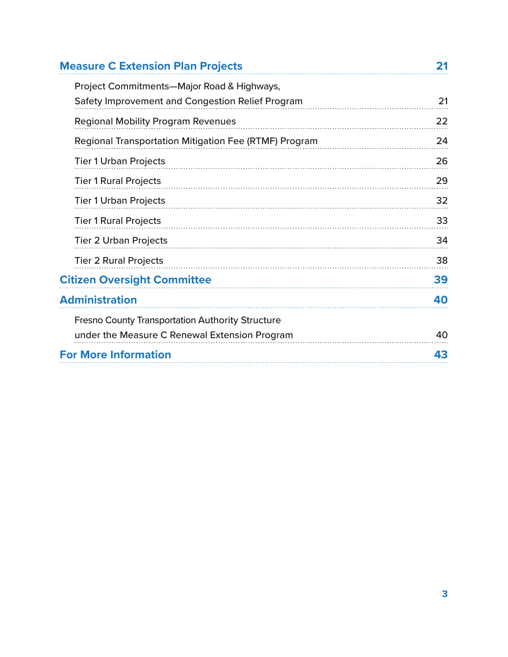| <b>Measure C Extension Plan Projects</b>                | 21 |
|---------------------------------------------------------|----|
| Project Commitments-Major Road & Highways,              |    |
| Safety Improvement and Congestion Relief Program        | 21 |
| <b>Regional Mobility Program Revenues</b>               | 22 |
| Regional Transportation Mitigation Fee (RTMF) Program   | 24 |
| <b>Tier 1 Urban Projects</b>                            | 26 |
| <b>Tier 1 Rural Projects</b>                            | 29 |
| <b>Tier 1 Urban Projects</b>                            | 32 |
| <b>Tier 1 Rural Projects</b>                            | 33 |
| <b>Tier 2 Urban Projects</b>                            | 34 |
| <b>Tier 2 Rural Projects</b>                            | 38 |
| <b>Citizen Oversight Committee</b>                      | 39 |
| <b>Administration</b>                                   | 40 |
| <b>Fresno County Transportation Authority Structure</b> |    |
| under the Measure C Renewal Extension Program           | 40 |
| <b>For More Information</b>                             | 43 |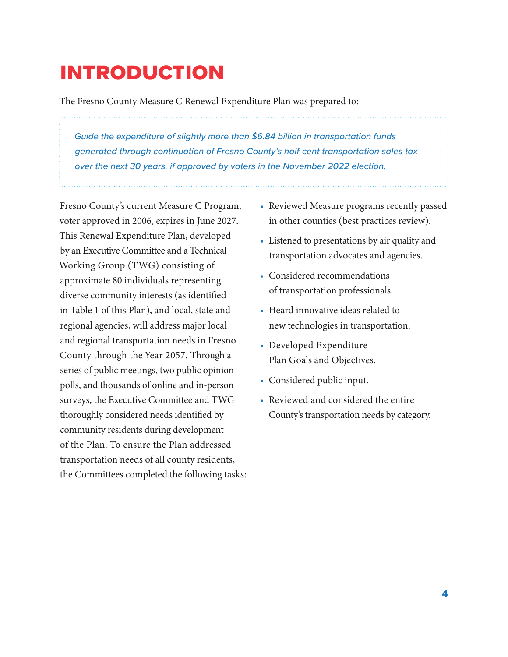# <span id="page-3-0"></span>**INTRODUCTION**

The Fresno County Measure C Renewal Expenditure Plan was prepared to:

*Guide the expenditure of slightly more than \$6.84 billion in transportation funds generated through continuation of Fresno County's half-cent transportation sales tax over the next 30 years, if approved by voters in the November 2022 election.*

Fresno County's current Measure C Program, voter approved in 2006, expires in June 2027. This Renewal Expenditure Plan, developed by an Executive Committee and a Technical Working Group (TWG) consisting of approximate 80 individuals representing diverse community interests (as identified in Table 1 of this Plan), and local, state and regional agencies, will address major local and regional transportation needs in Fresno County through the Year 2057. Through a series of public meetings, two public opinion polls, and thousands of online and in-person surveys, the Executive Committee and TWG thoroughly considered needs identified by community residents during development of the Plan. To ensure the Plan addressed transportation needs of all county residents, the Committees completed the following tasks:

- Reviewed Measure programs recently passed in other counties (best practices review).
- Listened to presentations by air quality and transportation advocates and agencies.
- Considered recommendations of transportation professionals.
- Heard innovative ideas related to new technologies in transportation.
- Developed Expenditure Plan Goals and Objectives.
- Considered public input.
- Reviewed and considered the entire County's transportation needs by category.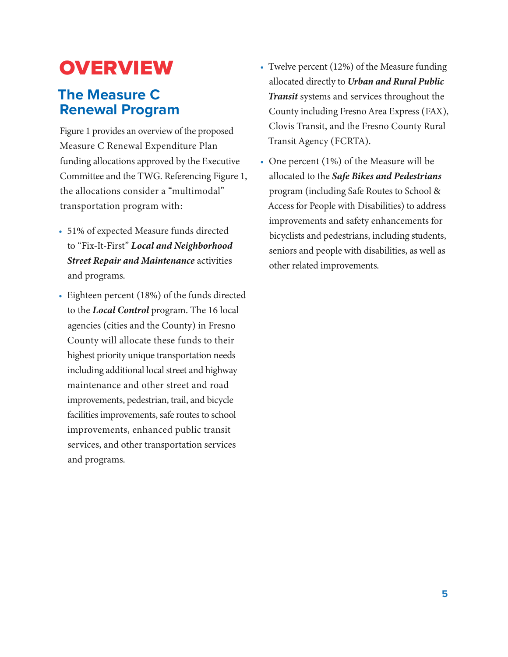# <span id="page-4-0"></span>**OVERVIEW**

## **The Measure C Renewal Program**

Figure 1 provides an overview of the proposed Measure C Renewal Expenditure Plan funding allocations approved by the Executive Committee and the TWG. Referencing Figure 1, the allocations consider a "multimodal" transportation program with:

- 51% of expected Measure funds directed to "Fix-It-First" *Local and Neighborhood Street Repair and Maintenance* activities and programs.
- Eighteen percent (18%) of the funds directed to the *Local Control* program. The 16 local agencies (cities and the County) in Fresno County will allocate these funds to their highest priority unique transportation needs including additional local street and highway maintenance and other street and road improvements, pedestrian, trail, and bicycle facilities improvements, safe routes to school improvements, enhanced public transit services, and other transportation services and programs.
- Twelve percent (12%) of the Measure funding allocated directly to *Urban and Rural Public Transit* systems and services throughout the County including Fresno Area Express (FAX), Clovis Transit, and the Fresno County Rural Transit Agency (FCRTA).
- One percent (1%) of the Measure will be allocated to the *Safe Bikes and Pedestrians* program (including Safe Routes to School & Access for People with Disabilities) to address improvements and safety enhancements for bicyclists and pedestrians, including students, seniors and people with disabilities, as well as other related improvements.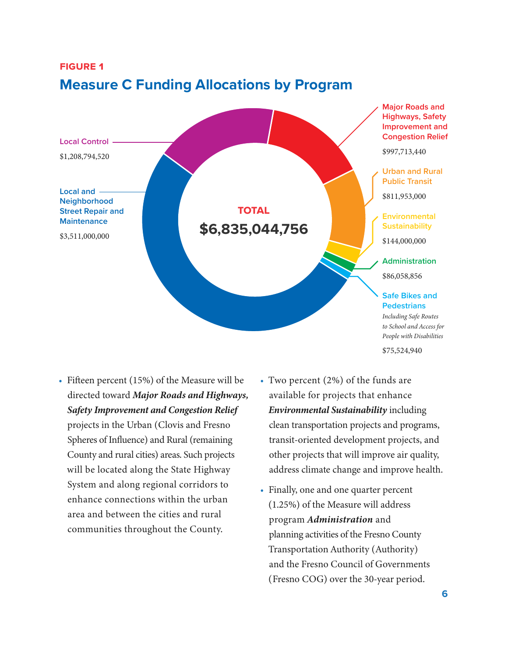

## <span id="page-5-0"></span>**Figure 1 Measure C Funding Allocations by Program**

- Fifteen percent (15%) of the Measure will be directed toward *Major Roads and Highways, Safety Improvement and Congestion Relief* projects in the Urban (Clovis and Fresno Spheres of Influence) and Rural (remaining County and rural cities) areas. Such projects will be located along the State Highway System and along regional corridors to enhance connections within the urban area and between the cities and rural communities throughout the County.
- Two percent (2%) of the funds are available for projects that enhance *Environmental Sustainability* including clean transportation projects and programs, transit-oriented development projects, and other projects that will improve air quality, address climate change and improve health.
- Finally, one and one quarter percent (1.25%) of the Measure will address program *Administration* and planning activities of the Fresno County Transportation Authority (Authority) and the Fresno Council of Governments (Fresno COG) over the 30-year period.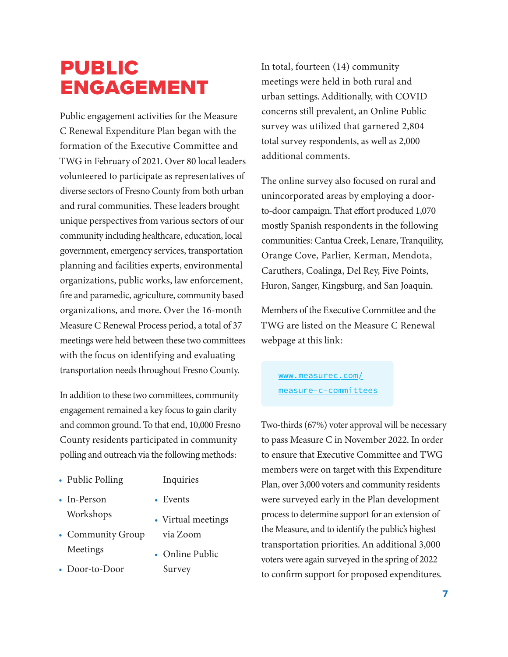# <span id="page-6-0"></span>**PUBLIC ENGAGEMENT**

Public engagement activities for the Measure C Renewal Expenditure Plan began with the formation of the Executive Committee and TWG in February of 2021. Over 80 local leaders volunteered to participate as representatives of diverse sectors of Fresno County from both urban and rural communities. These leaders brought unique perspectives from various sectors of our community including healthcare, education, local government, emergency services, transportation planning and facilities experts, environmental organizations, public works, law enforcement, fire and paramedic, agriculture, community based organizations, and more. Over the 16-month Measure C Renewal Process period, a total of 37 meetings were held between these two committees with the focus on identifying and evaluating transportation needs throughout Fresno County.

In addition to these two committees, community engagement remained a key focus to gain clarity and common ground. To that end, 10,000 Fresno County residents participated in community polling and outreach via the following methods:

- Public Polling
- Inquiries
- In-Person Workshops
- Events
- Virtual meetings

via Zoom

Survey

• Online Public

- Community Group Meetings
- Door-to-Door

In total, fourteen (14) community meetings were held in both rural and urban settings. Additionally, with COVID concerns still prevalent, an Online Public survey was utilized that garnered 2,804 total survey respondents, as well as 2,000 additional comments.

The online survey also focused on rural and unincorporated areas by employing a doorto-door campaign. That effort produced 1,070 mostly Spanish respondents in the following communities: Cantua Creek, Lenare, Tranquility, Orange Cove, Parlier, Kerman, Mendota, Caruthers, Coalinga, Del Rey, Five Points, Huron, Sanger, Kingsburg, and San Joaquin.

Members of the Executive Committee and the TWG are listed on the Measure C Renewal webpage at this link:

[www.measurec.com/](http://www.measurec.com/measure-c-committees)  [measure-c-committees](http://www.measurec.com/measure-c-committees)

Two-thirds (67%) voter approval will be necessary to pass Measure C in November 2022. In order to ensure that Executive Committee and TWG members were on target with this Expenditure Plan, over 3,000 voters and community residents were surveyed early in the Plan development process to determine support for an extension of the Measure, and to identify the public's highest transportation priorities. An additional 3,000 voters were again surveyed in the spring of 2022 to confirm support for proposed expenditures.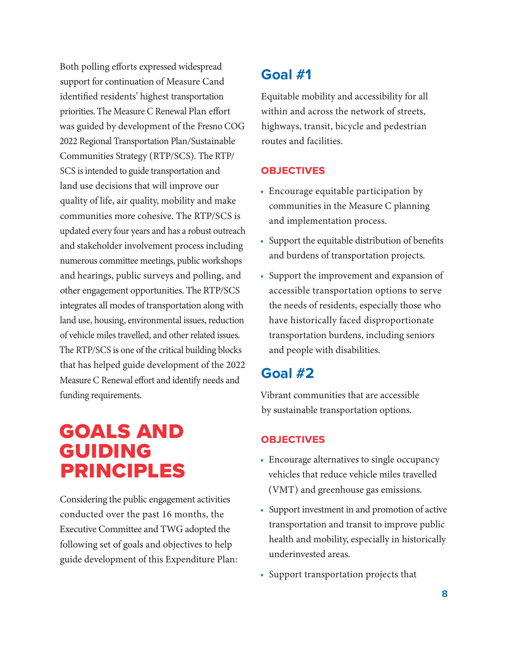<span id="page-7-0"></span>Both polling efforts expressed widespread support for continuation of Measure Cand identified residents' highest transportation priorities. The Measure C Renewal Plan effort was guided by development of the Fresno COG 2022 Regional Transportation Plan/Sustainable Communities Strategy (RTP/SCS). The RTP/ SCS is intended to guide transportation and land use decisions that will improve our quality of life, air quality, mobility and make communities more cohesive. The RTP/SCS is updated every four years and has a robust outreach and stakeholder involvement process including numerous committee meetings, public workshops and hearings, public surveys and polling, and other engagement opportunities. The RTP/SCS integrates all modes of transportation along with land use, housing, environmental issues, reduction of vehicle miles travelled, and other related issues. The RTP/SCS is one of the critical building blocks that has helped guide development of the 2022 Measure C Renewal effort and identify needs and funding requirements.

# Goals and **GUIDING** Principles

Considering the public engagement activities conducted over the past 16 months, the Executive Committee and TWG adopted the following set of goals and objectives to help guide development of this Expenditure Plan:

## **Goal #1**

Equitable mobility and accessibility for all within and across the network of streets, highways, transit, bicycle and pedestrian routes and facilities.

#### **Objectives**

- Encourage equitable participation by communities in the Measure C planning and implementation process.
- Support the equitable distribution of benefits and burdens of transportation projects.
- Support the improvement and expansion of accessible transportation options to serve the needs of residents, especially those who have historically faced disproportionate transportation burdens, including seniors and people with disabilities.

## **Goal #2**

Vibrant communities that are accessible by sustainable transportation options.

#### **Objectives**

- Encourage alternatives to single occupancy vehicles that reduce vehicle miles travelled (VMT) and greenhouse gas emissions.
- Support investment in and promotion of active transportation and transit to improve public health and mobility, especially in historically underinvested areas.
- Support transportation projects that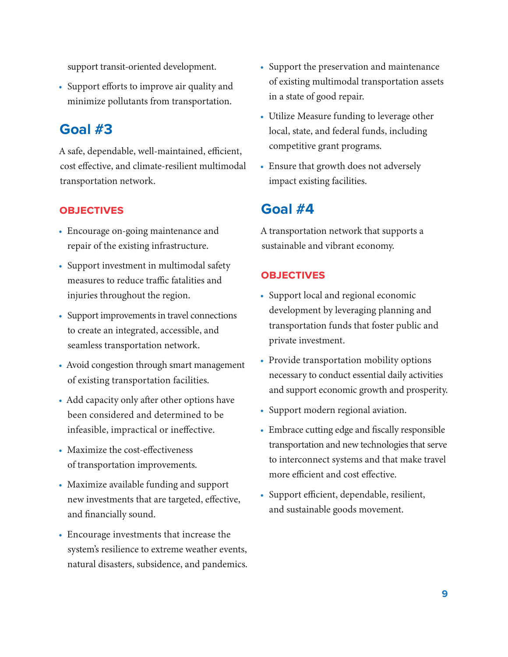support transit-oriented development.

• Support efforts to improve air quality and minimize pollutants from transportation.

### **Goal #3**

A safe, dependable, well-maintained, efficient, cost effective, and climate-resilient multimodal transportation network.

#### **Objectives**

- Encourage on-going maintenance and repair of the existing infrastructure.
- Support investment in multimodal safety measures to reduce traffic fatalities and injuries throughout the region.
- Support improvements in travel connections to create an integrated, accessible, and seamless transportation network.
- Avoid congestion through smart management of existing transportation facilities.
- Add capacity only after other options have been considered and determined to be infeasible, impractical or ineffective.
- Maximize the cost-effectiveness of transportation improvements.
- Maximize available funding and support new investments that are targeted, effective, and financially sound.
- Encourage investments that increase the system's resilience to extreme weather events, natural disasters, subsidence, and pandemics.
- Support the preservation and maintenance of existing multimodal transportation assets in a state of good repair.
- Utilize Measure funding to leverage other local, state, and federal funds, including competitive grant programs.
- Ensure that growth does not adversely impact existing facilities.

### **Goal #4**

A transportation network that supports a sustainable and vibrant economy.

#### **Objectives**

- Support local and regional economic development by leveraging planning and transportation funds that foster public and private investment.
- Provide transportation mobility options necessary to conduct essential daily activities and support economic growth and prosperity.
- Support modern regional aviation.
- Embrace cutting edge and fiscally responsible transportation and new technologies that serve to interconnect systems and that make travel more efficient and cost effective.
- Support efficient, dependable, resilient, and sustainable goods movement.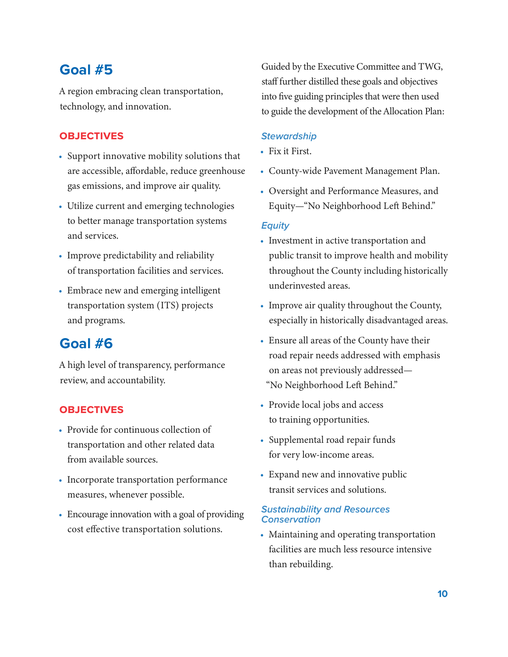### **Goal #5**

A region embracing clean transportation, technology, and innovation.

#### **Objectives**

- Support innovative mobility solutions that are accessible, affordable, reduce greenhouse gas emissions, and improve air quality.
- Utilize current and emerging technologies to better manage transportation systems and services.
- Improve predictability and reliability of transportation facilities and services.
- Embrace new and emerging intelligent transportation system (ITS) projects and programs.

### **Goal #6**

A high level of transparency, performance review, and accountability.

#### **Objectives**

- Provide for continuous collection of transportation and other related data from available sources.
- Incorporate transportation performance measures, whenever possible.
- Encourage innovation with a goal of providing cost effective transportation solutions.

Guided by the Executive Committee and TWG, staff further distilled these goals and objectives into five guiding principles that were then used to guide the development of the Allocation Plan:

#### *Stewardship*

- Fix it First.
- County-wide Pavement Management Plan.
- Oversight and Performance Measures, and Equity—"No Neighborhood Left Behind."

#### *Equity*

- Investment in active transportation and public transit to improve health and mobility throughout the County including historically underinvested areas.
- Improve air quality throughout the County, especially in historically disadvantaged areas.
- Ensure all areas of the County have their road repair needs addressed with emphasis on areas not previously addressed— "No Neighborhood Left Behind."
- Provide local jobs and access to training opportunities.
- Supplemental road repair funds for very low-income areas.
- Expand new and innovative public transit services and solutions.

#### *Sustainability and Resources Conservation*

• Maintaining and operating transportation facilities are much less resource intensive than rebuilding.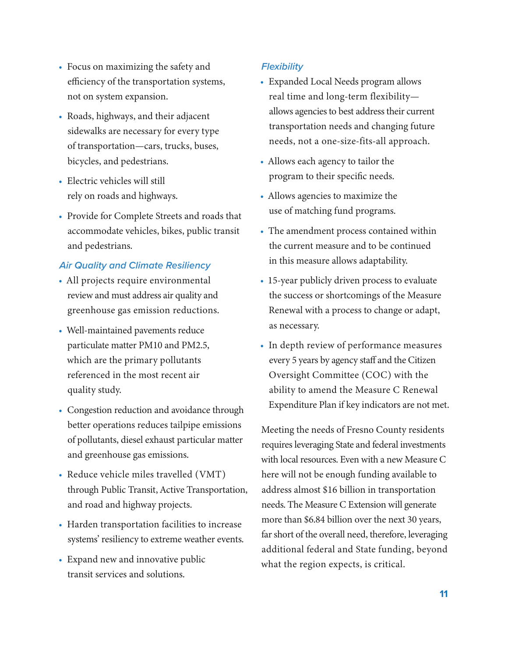- Focus on maximizing the safety and efficiency of the transportation systems, not on system expansion.
- Roads, highways, and their adjacent sidewalks are necessary for every type of transportation—cars, trucks, buses, bicycles, and pedestrians.
- Electric vehicles will still rely on roads and highways.
- Provide for Complete Streets and roads that accommodate vehicles, bikes, public transit and pedestrians.

#### *Air Quality and Climate Resiliency*

- All projects require environmental review and must address air quality and greenhouse gas emission reductions.
- Well-maintained pavements reduce particulate matter PM10 and PM2.5, which are the primary pollutants referenced in the most recent air quality study.
- Congestion reduction and avoidance through better operations reduces tailpipe emissions of pollutants, diesel exhaust particular matter and greenhouse gas emissions.
- Reduce vehicle miles travelled (VMT) through Public Transit, Active Transportation, and road and highway projects.
- Harden transportation facilities to increase systems' resiliency to extreme weather events.
- Expand new and innovative public transit services and solutions.

#### *Flexibility*

- Expanded Local Needs program allows real time and long-term flexibility allows agencies to best address their current transportation needs and changing future needs, not a one-size-fits-all approach.
- Allows each agency to tailor the program to their specific needs.
- Allows agencies to maximize the use of matching fund programs.
- The amendment process contained within the current measure and to be continued in this measure allows adaptability.
- 15-year publicly driven process to evaluate the success or shortcomings of the Measure Renewal with a process to change or adapt, as necessary.
- In depth review of performance measures every 5 years by agency staff and the Citizen Oversight Committee (COC) with the ability to amend the Measure C Renewal Expenditure Plan if key indicators are not met.

Meeting the needs of Fresno County residents requires leveraging State and federal investments with local resources. Even with a new Measure C here will not be enough funding available to address almost \$16 billion in transportation needs. The Measure C Extension will generate more than \$6.84 billion over the next 30 years, far short of the overall need, therefore, leveraging additional federal and State funding, beyond what the region expects, is critical.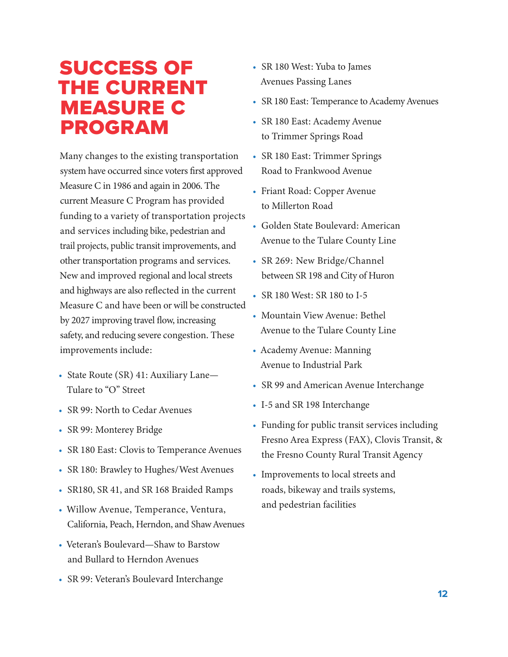# <span id="page-11-0"></span>Success of the Current **MEASURE C** Program

Many changes to the existing transportation system have occurred since voters first approved Measure C in 1986 and again in 2006. The current Measure C Program has provided funding to a variety of transportation projects and services including bike, pedestrian and trail projects, public transit improvements, and other transportation programs and services. New and improved regional and local streets and highways are also reflected in the current Measure C and have been or will be constructed by 2027 improving travel flow, increasing safety, and reducing severe congestion. These improvements include:

- State Route (SR) 41: Auxiliary Lane— Tulare to "O" Street
- SR 99: North to Cedar Avenues
- SR 99: Monterey Bridge
- SR 180 East: Clovis to Temperance Avenues
- SR 180: Brawley to Hughes/West Avenues
- SR180, SR 41, and SR 168 Braided Ramps
- Willow Avenue, Temperance, Ventura, California, Peach, Herndon, and Shaw Avenues
- Veteran's Boulevard—Shaw to Barstow and Bullard to Herndon Avenues
- SR 99: Veteran's Boulevard Interchange
- SR 180 West: Yuba to James Avenues Passing Lanes
- SR 180 East: Temperance to Academy Avenues
- SR 180 East: Academy Avenue to Trimmer Springs Road
- SR 180 East: Trimmer Springs Road to Frankwood Avenue
- Friant Road: Copper Avenue to Millerton Road
- Golden State Boulevard: American Avenue to the Tulare County Line
- SR 269: New Bridge/Channel between SR 198 and City of Huron
- SR 180 West: SR 180 to I-5
- Mountain View Avenue: Bethel Avenue to the Tulare County Line
- Academy Avenue: Manning Avenue to Industrial Park
- SR 99 and American Avenue Interchange
- I-5 and SR 198 Interchange
- Funding for public transit services including Fresno Area Express (FAX), Clovis Transit, & the Fresno County Rural Transit Agency
- Improvements to local streets and roads, bikeway and trails systems, and pedestrian facilities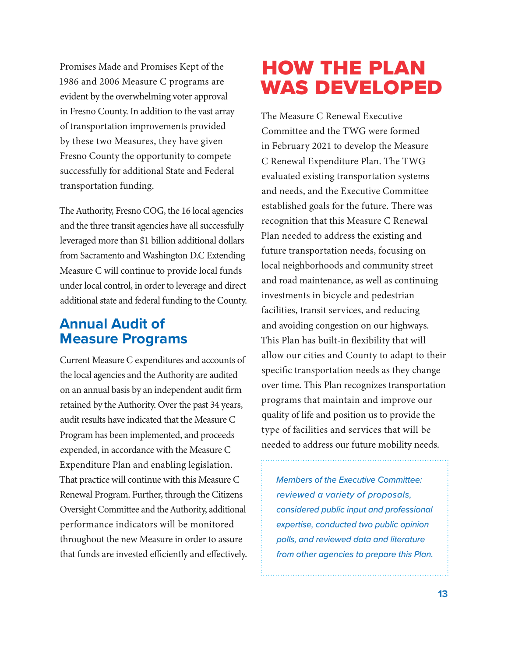<span id="page-12-0"></span>Promises Made and Promises Kept of the 1986 and 2006 Measure C programs are evident by the overwhelming voter approval in Fresno County. In addition to the vast array of transportation improvements provided by these two Measures, they have given Fresno County the opportunity to compete successfully for additional State and Federal transportation funding.

The Authority, Fresno COG, the 16 local agencies and the three transit agencies have all successfully leveraged more than \$1 billion additional dollars from Sacramento and Washington D.C Extending Measure C will continue to provide local funds under local control, in order to leverage and direct additional state and federal funding to the County.

## **Annual Audit of Measure Programs**

Current Measure C expenditures and accounts of the local agencies and the Authority are audited on an annual basis by an independent audit firm retained by the Authority. Over the past 34 years, audit results have indicated that the Measure C Program has been implemented, and proceeds expended, in accordance with the Measure C Expenditure Plan and enabling legislation. That practice will continue with this Measure C Renewal Program. Further, through the Citizens Oversight Committee and the Authority, additional performance indicators will be monitored throughout the new Measure in order to assure that funds are invested efficiently and effectively.

# How the Plan was Developed

The Measure C Renewal Executive Committee and the TWG were formed in February 2021 to develop the Measure C Renewal Expenditure Plan. The TWG evaluated existing transportation systems and needs, and the Executive Committee established goals for the future. There was recognition that this Measure C Renewal Plan needed to address the existing and future transportation needs, focusing on local neighborhoods and community street and road maintenance, as well as continuing investments in bicycle and pedestrian facilities, transit services, and reducing and avoiding congestion on our highways. This Plan has built-in flexibility that will allow our cities and County to adapt to their specific transportation needs as they change over time. This Plan recognizes transportation programs that maintain and improve our quality of life and position us to provide the type of facilities and services that will be needed to address our future mobility needs.

*Members of the Executive Committee: reviewed a variety of proposals, considered public input and professional expertise, conducted two public opinion polls, and reviewed data and literature from other agencies to prepare this Plan.*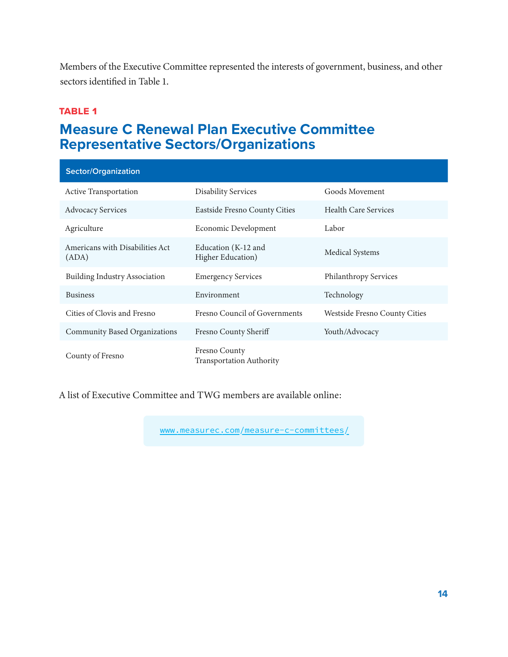<span id="page-13-0"></span>Members of the Executive Committee represented the interests of government, business, and other sectors identified in Table 1.

#### **table 1**

## **Measure C Renewal Plan Executive Committee Representative Sectors/Organizations**

| <b>Sector/Organization</b>               |                                                  |                               |
|------------------------------------------|--------------------------------------------------|-------------------------------|
| <b>Active Transportation</b>             | <b>Disability Services</b>                       | Goods Movement                |
| <b>Advocacy Services</b>                 | Eastside Fresno County Cities                    | <b>Health Care Services</b>   |
| Agriculture                              | Economic Development                             | Labor                         |
| Americans with Disabilities Act<br>(ADA) | Education (K-12 and<br>Higher Education)         | <b>Medical Systems</b>        |
| <b>Building Industry Association</b>     | <b>Emergency Services</b>                        | Philanthropy Services         |
| <b>Business</b>                          | Environment                                      | Technology                    |
| Cities of Clovis and Fresno              | Fresno Council of Governments                    | Westside Fresno County Cities |
| Community Based Organizations            | Fresno County Sheriff                            | Youth/Advocacy                |
| County of Fresno                         | Fresno County<br><b>Transportation Authority</b> |                               |

A list of Executive Committee and TWG members are available online:

[www.measurec.com/measure-c-committees/](http://www.measurec.com/measure-c-committees/)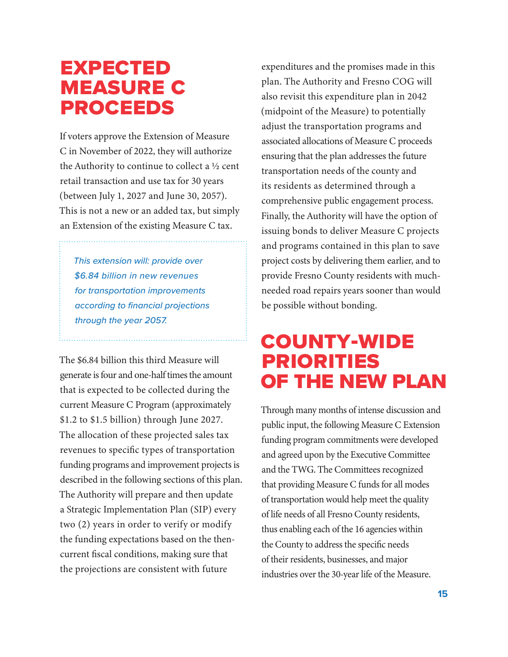# <span id="page-14-0"></span>**EXPECTED** Measure C **PROCEEDS**

If voters approve the Extension of Measure C in November of 2022, they will authorize the Authority to continue to collect a ½ cent retail transaction and use tax for 30 years (between July 1, 2027 and June 30, 2057). This is not a new or an added tax, but simply an Extension of the existing Measure C tax.

*This extension will: provide over \$6.84 billion in new revenues for transportation improvements according to financial projections through the year 2057.* 

The \$6.84 billion this third Measure will generate is four and one-half times the amount that is expected to be collected during the current Measure C Program (approximately \$1.2 to \$1.5 billion) through June 2027. The allocation of these projected sales tax revenues to specific types of transportation funding programs and improvement projects is described in the following sections of this plan. The Authority will prepare and then update a Strategic Implementation Plan (SIP) every two (2) years in order to verify or modify the funding expectations based on the thencurrent fiscal conditions, making sure that the projections are consistent with future

expenditures and the promises made in this plan. The Authority and Fresno COG will also revisit this expenditure plan in 2042 (midpoint of the Measure) to potentially adjust the transportation programs and associated allocations of Measure C proceeds ensuring that the plan addresses the future transportation needs of the county and its residents as determined through a comprehensive public engagement process. Finally, the Authority will have the option of issuing bonds to deliver Measure C projects and programs contained in this plan to save project costs by delivering them earlier, and to provide Fresno County residents with muchneeded road repairs years sooner than would be possible without bonding.

# County-wide Priorities of the New Plan

Through many months of intense discussion and public input, the following Measure C Extension funding program commitments were developed and agreed upon by the Executive Committee and the TWG. The Committees recognized that providing Measure C funds for all modes of transportation would help meet the quality of life needs of all Fresno County residents, thus enabling each of the 16 agencies within the County to address the specific needs of their residents, businesses, and major industries over the 30-year life of the Measure.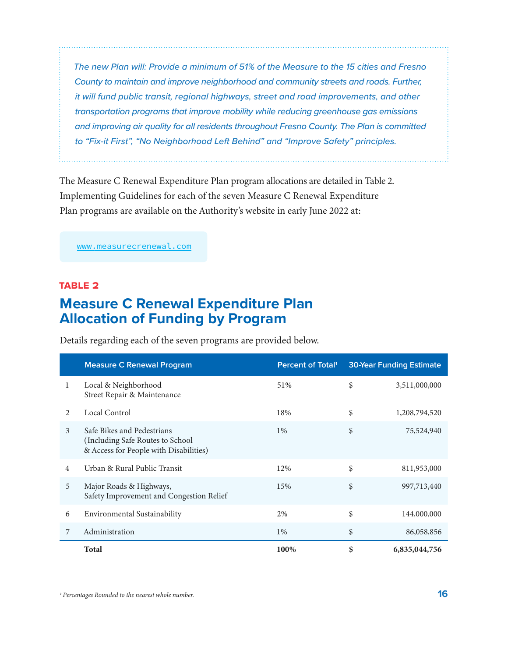<span id="page-15-0"></span>*The new Plan will: Provide a minimum of 51% of the Measure to the 15 cities and Fresno County to maintain and improve neighborhood and community streets and roads. Further, it will fund public transit, regional highways, street and road improvements, and other transportation programs that improve mobility while reducing greenhouse gas emissions and improving air quality for all residents throughout Fresno County. The Plan is committed to "Fix-it First", "No Neighborhood Left Behind" and "Improve Safety" principles.*

The Measure C Renewal Expenditure Plan program allocations are detailed in Table 2. Implementing Guidelines for each of the seven Measure C Renewal Expenditure Plan programs are available on the Authority's website in early June 2022 at:

[www.measurecrenewal.com](http://www.measurecrenewal.com)

#### **table 2**

### **Measure C Renewal Expenditure Plan Allocation of Funding by Program**

Details regarding each of the seven programs are provided below.

|                | <b>Measure C Renewal Program</b>                                                                          | <b>Percent of Total</b> | <b>30-Year Funding Estimate</b> |
|----------------|-----------------------------------------------------------------------------------------------------------|-------------------------|---------------------------------|
| 1              | Local & Neighborhood<br>Street Repair & Maintenance                                                       | 51%                     | \$<br>3,511,000,000             |
| $\mathfrak{D}$ | Local Control                                                                                             | 18%                     | \$<br>1,208,794,520             |
| 3              | Safe Bikes and Pedestrians<br>(Including Safe Routes to School)<br>& Access for People with Disabilities) | $1\%$                   | \$<br>75,524,940                |
| $\overline{4}$ | Urban & Rural Public Transit                                                                              | 12%                     | \$<br>811,953,000               |
| 5              | Major Roads & Highways,<br>Safety Improvement and Congestion Relief                                       | 15%                     | \$<br>997,713,440               |
| 6              | Environmental Sustainability                                                                              | 2%                      | \$<br>144,000,000               |
| 7              | Administration                                                                                            | $1\%$                   | \$<br>86,058,856                |
|                | <b>Total</b>                                                                                              | 100%                    | \$<br>6,835,044,756             |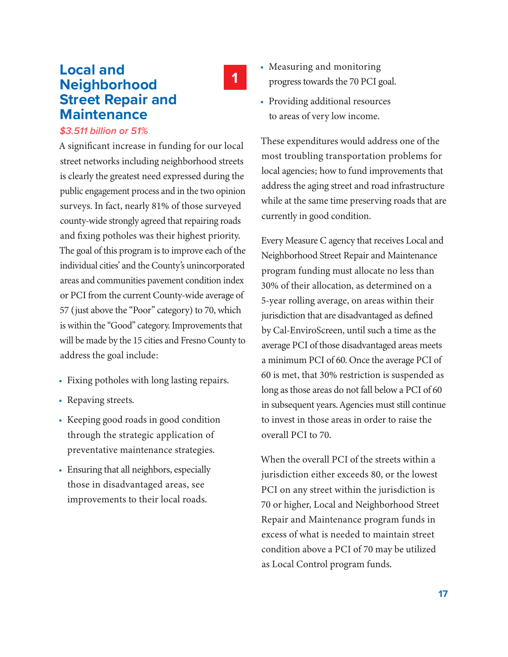### <span id="page-16-0"></span>**Local and Neighborhood Street Repair and Maintenance**

#### *\$3.511 billion or 51%*

A significant increase in funding for our local street networks including neighborhood streets is clearly the greatest need expressed during the public engagement process and in the two opinion surveys. In fact, nearly 81% of those surveyed county-wide strongly agreed that repairing roads and fixing potholes was their highest priority. The goal of this program is to improve each of the individual cities' and the County's unincorporated areas and communities pavement condition index or PCI from the current County-wide average of 57 (just above the "Poor" category) to 70, which is within the "Good" category. Improvements that will be made by the 15 cities and Fresno County to address the goal include:

- Fixing potholes with long lasting repairs.
- Repaving streets.
- Keeping good roads in good condition through the strategic application of preventative maintenance strategies.
- Ensuring that all neighbors, especially those in disadvantaged areas, see improvements to their local roads.

• Measuring and monitoring progress towards the 70 PCI goal.

**1**

• Providing additional resources to areas of very low income.

These expenditures would address one of the most troubling transportation problems for local agencies; how to fund improvements that address the aging street and road infrastructure while at the same time preserving roads that are currently in good condition.

Every Measure C agency that receives Local and Neighborhood Street Repair and Maintenance program funding must allocate no less than 30% of their allocation, as determined on a 5-year rolling average, on areas within their jurisdiction that are disadvantaged as defined by Cal-EnviroScreen, until such a time as the average PCI of those disadvantaged areas meets a minimum PCI of 60. Once the average PCI of 60 is met, that 30% restriction is suspended as long as those areas do not fall below a PCI of 60 in subsequent years. Agencies must still continue to invest in those areas in order to raise the overall PCI to 70.

When the overall PCI of the streets within a jurisdiction either exceeds 80, or the lowest PCI on any street within the jurisdiction is 70 or higher, Local and Neighborhood Street Repair and Maintenance program funds in excess of what is needed to maintain street condition above a PCI of 70 may be utilized as Local Control program funds.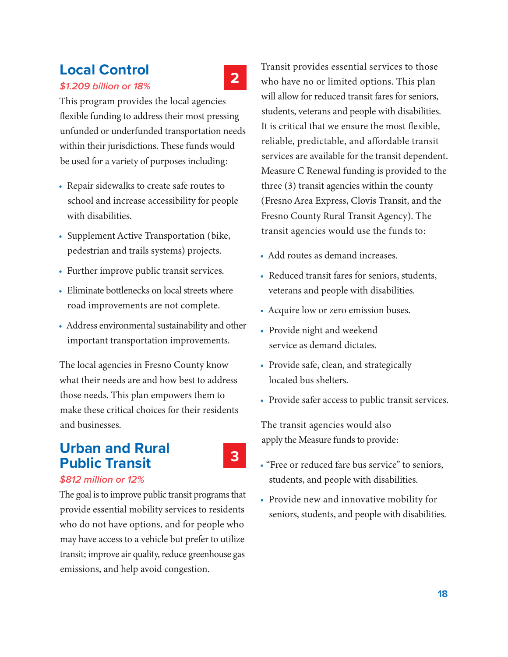## <span id="page-17-0"></span>**Local Control**

*\$1.209 billion or 18%*

This program provides the local agencies flexible funding to address their most pressing unfunded or underfunded transportation needs within their jurisdictions. These funds would be used for a variety of purposes including:

- Repair sidewalks to create safe routes to school and increase accessibility for people with disabilities.
- Supplement Active Transportation (bike, pedestrian and trails systems) projects.
- Further improve public transit services.
- Eliminate bottlenecks on local streets where road improvements are not complete.
- Address environmental sustainability and other important transportation improvements.

The local agencies in Fresno County know what their needs are and how best to address those needs. This plan empowers them to make these critical choices for their residents and businesses.

## **Urban and Rural Public Transit**

**3**

**2**

*\$812 million or 12%*

The goal is to improve public transit programs that provide essential mobility services to residents who do not have options, and for people who may have access to a vehicle but prefer to utilize transit; improve air quality, reduce greenhouse gas emissions, and help avoid congestion.

Transit provides essential services to those who have no or limited options. This plan will allow for reduced transit fares for seniors, students, veterans and people with disabilities. It is critical that we ensure the most flexible, reliable, predictable, and affordable transit services are available for the transit dependent. Measure C Renewal funding is provided to the three (3) transit agencies within the county (Fresno Area Express, Clovis Transit, and the Fresno County Rural Transit Agency). The transit agencies would use the funds to:

- Add routes as demand increases.
- Reduced transit fares for seniors, students, veterans and people with disabilities.
- Acquire low or zero emission buses.
- Provide night and weekend service as demand dictates.
- Provide safe, clean, and strategically located bus shelters.
- Provide safer access to public transit services.

The transit agencies would also apply the Measure funds to provide:

- "Free or reduced fare bus service" to seniors, students, and people with disabilities.
- Provide new and innovative mobility for seniors, students, and people with disabilities.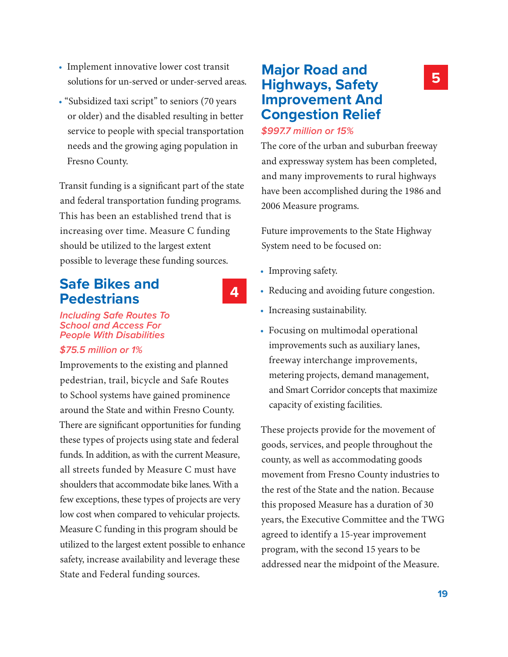- <span id="page-18-0"></span>• Implement innovative lower cost transit solutions for un-served or under-served areas.
- "Subsidized taxi script" to seniors (70 years or older) and the disabled resulting in better service to people with special transportation needs and the growing aging population in Fresno County.

Transit funding is a significant part of the state and federal transportation funding programs. This has been an established trend that is increasing over time. Measure C funding should be utilized to the largest extent possible to leverage these funding sources.

### **Safe Bikes and Pedestrians**

**4**

*Including Safe Routes To School and Access For People With Disabilities*

#### *\$75.5 million or 1%*

Improvements to the existing and planned pedestrian, trail, bicycle and Safe Routes to School systems have gained prominence around the State and within Fresno County. There are significant opportunities for funding these types of projects using state and federal funds. In addition, as with the current Measure, all streets funded by Measure C must have shoulders that accommodate bike lanes. With a few exceptions, these types of projects are very low cost when compared to vehicular projects. Measure C funding in this program should be utilized to the largest extent possible to enhance safety, increase availability and leverage these State and Federal funding sources.

### **Major Road and Highways, Safety Improvement And Congestion Relief**

#### *\$997.7 million or 15%*

The core of the urban and suburban freeway and expressway system has been completed, and many improvements to rural highways have been accomplished during the 1986 and 2006 Measure programs.

Future improvements to the State Highway System need to be focused on:

- Improving safety.
- Reducing and avoiding future congestion.
- Increasing sustainability.
- Focusing on multimodal operational improvements such as auxiliary lanes, freeway interchange improvements, metering projects, demand management, and Smart Corridor concepts that maximize capacity of existing facilities.

These projects provide for the movement of goods, services, and people throughout the county, as well as accommodating goods movement from Fresno County industries to the rest of the State and the nation. Because this proposed Measure has a duration of 30 years, the Executive Committee and the TWG agreed to identify a 15-year improvement program, with the second 15 years to be addressed near the midpoint of the Measure.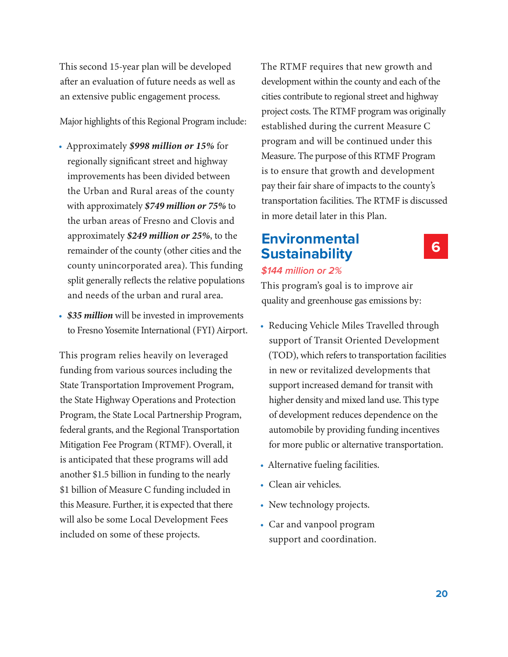<span id="page-19-0"></span>This second 15-year plan will be developed after an evaluation of future needs as well as an extensive public engagement process.

Major highlights of this Regional Program include:

- Approximately *\$998 million or 15%* for regionally significant street and highway improvements has been divided between the Urban and Rural areas of the county with approximately *\$749 million or 75%* to the urban areas of Fresno and Clovis and approximately *\$249 million or 25%*, to the remainder of the county (other cities and the county unincorporated area). This funding split generally reflects the relative populations and needs of the urban and rural area.
- *\$35 million* will be invested in improvements to Fresno Yosemite International (FYI) Airport.

This program relies heavily on leveraged funding from various sources including the State Transportation Improvement Program, the State Highway Operations and Protection Program, the State Local Partnership Program, federal grants, and the Regional Transportation Mitigation Fee Program (RTMF). Overall, it is anticipated that these programs will add another \$1.5 billion in funding to the nearly \$1 billion of Measure C funding included in this Measure. Further, it is expected that there will also be some Local Development Fees included on some of these projects.

The RTMF requires that new growth and development within the county and each of the cities contribute to regional street and highway project costs. The RTMF program was originally established during the current Measure C program and will be continued under this Measure. The purpose of this RTMF Program is to ensure that growth and development pay their fair share of impacts to the county's transportation facilities. The RTMF is discussed in more detail later in this Plan.

### **Environmental Sustainability**

#### *\$144 million or 2%*

This program's goal is to improve air quality and greenhouse gas emissions by:

- Reducing Vehicle Miles Travelled through support of Transit Oriented Development (TOD), which refers to transportation facilities in new or revitalized developments that support increased demand for transit with higher density and mixed land use. This type of development reduces dependence on the automobile by providing funding incentives for more public or alternative transportation.
- Alternative fueling facilities.
- Clean air vehicles.
- New technology projects.
- Car and vanpool program support and coordination.

#### **6**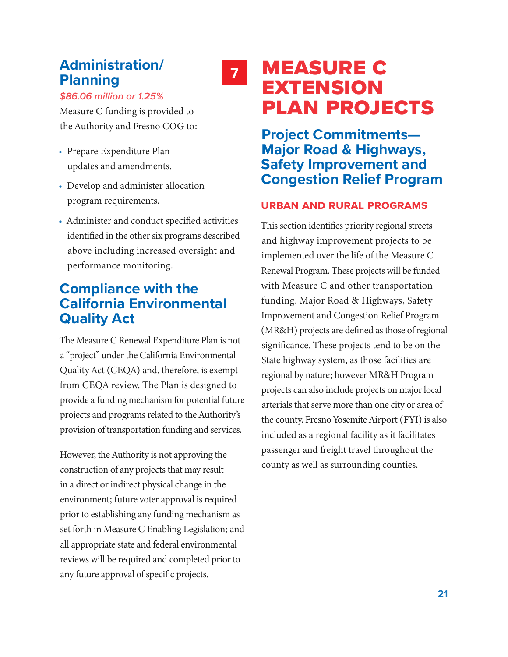## <span id="page-20-0"></span>**Administration/ Planning**



*\$86.06 million or 1.25%*

Measure C funding is provided to the Authority and Fresno COG to:

- Prepare Expenditure Plan updates and amendments.
- Develop and administer allocation program requirements.
- Administer and conduct specified activities identified in the other six programs described above including increased oversight and performance monitoring.

## **Compliance with the California Environmental Quality Act**

The Measure C Renewal Expenditure Plan is not a "project" under the California Environmental Quality Act (CEQA) and, therefore, is exempt from CEQA review. The Plan is designed to provide a funding mechanism for potential future projects and programs related to the Authority's provision of transportation funding and services.

However, the Authority is not approving the construction of any projects that may result in a direct or indirect physical change in the environment; future voter approval is required prior to establishing any funding mechanism as set forth in Measure C Enabling Legislation; and all appropriate state and federal environmental reviews will be required and completed prior to any future approval of specific projects.

# **<sup>7</sup>** Measure C **EXTENSION** Plan Projects

**Project Commitments— Major Road & Highways, Safety Improvement and Congestion Relief Program**

#### **Urban and Rural Programs**

This section identifies priority regional streets and highway improvement projects to be implemented over the life of the Measure C Renewal Program. These projects will be funded with Measure C and other transportation funding. Major Road & Highways, Safety Improvement and Congestion Relief Program (MR&H) projects are defined as those of regional significance. These projects tend to be on the State highway system, as those facilities are regional by nature; however MR&H Program projects can also include projects on major local arterials that serve more than one city or area of the county. Fresno Yosemite Airport (FYI) is also included as a regional facility as it facilitates passenger and freight travel throughout the county as well as surrounding counties.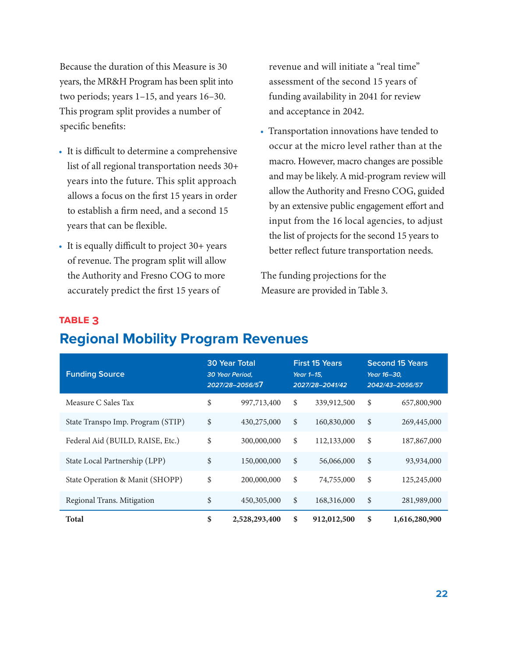<span id="page-21-0"></span>Because the duration of this Measure is 30 years, the MR&H Program has been split into two periods; years 1–15, and years 16–30. This program split provides a number of specific benefits:

- It is difficult to determine a comprehensive list of all regional transportation needs 30+ years into the future. This split approach allows a focus on the first 15 years in order to establish a firm need, and a second 15 years that can be flexible.
- It is equally difficult to project 30+ years of revenue. The program split will allow the Authority and Fresno COG to more accurately predict the first 15 years of

revenue and will initiate a "real time" assessment of the second 15 years of funding availability in 2041 for review and acceptance in 2042.

• Transportation innovations have tended to occur at the micro level rather than at the macro. However, macro changes are possible and may be likely. A mid-program review will allow the Authority and Fresno COG, guided by an extensive public engagement effort and input from the 16 local agencies, to adjust the list of projects for the second 15 years to better reflect future transportation needs.

The funding projections for the Measure are provided in Table 3.

#### **Funding Source 30 Year Total** *30 Year Period, 2027/28–2056/5***7 First 15 Years** *Year 1–15, 2027/28–2041/42* **Second 15 Years** *Year 16–30, 2042/43–2056/57* Measure C Sales Tax \$ 997,713,400 \$ 339,912,500 \$ 657,800,900 State Transpo Imp. Program (STIP) \$ 430,275,000 \$ 160,830,000 \$ 269,445,000 Federal Aid (BUILD, RAISE, Etc.) \$ 300,000,000 \$ 112,133,000 \$ 187,867,000 State Local Partnership (LPP) \$ 150,000,000 \$ 56,066,000 \$ 93,934,000 State Operation & Manit (SHOPP) \$ 200,000,000 \$ 74,755,000 \$ 125,245,000 Regional Trans. Mitigation \$ 450,305,000 \$ 168,316,000 \$ 281,989,000 **Total \$ 2,528,293,400 \$ 912,012,500 \$ 1,616,280,900**

#### **table 3**

## **Regional Mobility Program Revenues**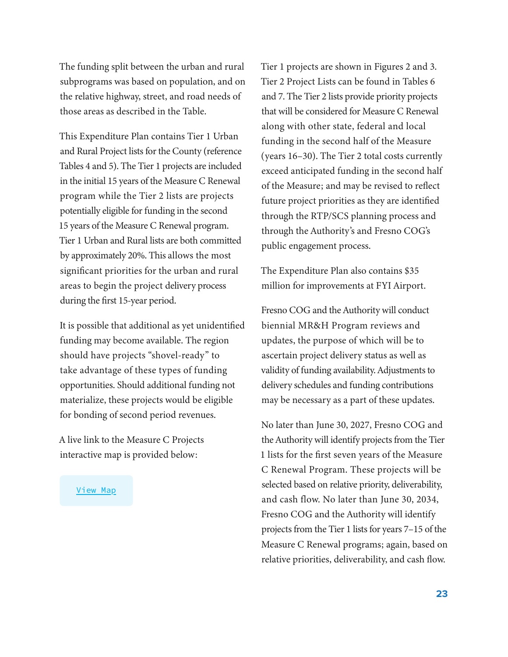The funding split between the urban and rural subprograms was based on population, and on the relative highway, street, and road needs of those areas as described in the Table.

This Expenditure Plan contains Tier 1 Urban and Rural Project lists for the County (reference Tables 4 and 5). The Tier 1 projects are included in the initial 15 years of the Measure C Renewal program while the Tier 2 lists are projects potentially eligible for funding in the second 15 years of the Measure C Renewal program. Tier 1 Urban and Rural lists are both committed by approximately 20%. This allows the most significant priorities for the urban and rural areas to begin the project delivery process during the first 15-year period.

It is possible that additional as yet unidentified funding may become available. The region should have projects "shovel-ready" to take advantage of these types of funding opportunities. Should additional funding not materialize, these projects would be eligible for bonding of second period revenues.

A live link to the Measure C Projects interactive map is provided below:

#### [View Map](https://fresnocog.maps.arcgis.com/apps/instant/basic/index.html?appid=52467aa755014c0197ed5ad6f97b3e8d)

Tier 1 projects are shown in Figures 2 and 3. Tier 2 Project Lists can be found in Tables 6 and 7. The Tier 2 lists provide priority projects that will be considered for Measure C Renewal along with other state, federal and local funding in the second half of the Measure (years 16–30). The Tier 2 total costs currently exceed anticipated funding in the second half of the Measure; and may be revised to reflect future project priorities as they are identified through the RTP/SCS planning process and through the Authority's and Fresno COG's public engagement process.

The Expenditure Plan also contains \$35 million for improvements at FYI Airport.

Fresno COG and the Authority will conduct biennial MR&H Program reviews and updates, the purpose of which will be to ascertain project delivery status as well as validity of funding availability. Adjustments to delivery schedules and funding contributions may be necessary as a part of these updates.

No later than June 30, 2027, Fresno COG and the Authority will identify projects from the Tier 1 lists for the first seven years of the Measure C Renewal Program. These projects will be selected based on relative priority, deliverability, and cash flow. No later than June 30, 2034, Fresno COG and the Authority will identify projects from the Tier 1 lists for years 7–15 of the Measure C Renewal programs; again, based on relative priorities, deliverability, and cash flow.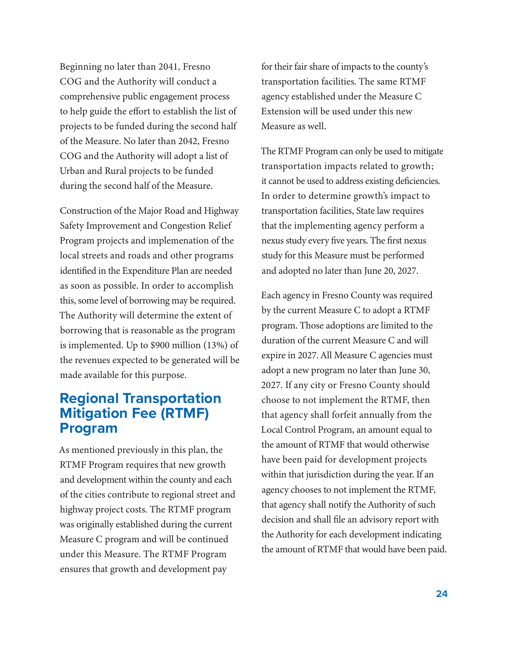<span id="page-23-0"></span>Beginning no later than 2041, Fresno COG and the Authority will conduct a comprehensive public engagement process to help guide the effort to establish the list of projects to be funded during the second half of the Measure. No later than 2042, Fresno COG and the Authority will adopt a list of Urban and Rural projects to be funded during the second half of the Measure.

Construction of the Major Road and Highway Safety Improvement and Congestion Relief Program projects and implemenation of the local streets and roads and other programs identified in the Expenditure Plan are needed as soon as possible. In order to accomplish this, some level of borrowing may be required. The Authority will determine the extent of borrowing that is reasonable as the program is implemented. Up to \$900 million (13%) of the revenues expected to be generated will be made available for this purpose.

### **Regional Transportation Mitigation Fee (RTMF) Program**

As mentioned previously in this plan, the RTMF Program requires that new growth and development within the county and each of the cities contribute to regional street and highway project costs. The RTMF program was originally established during the current Measure C program and will be continued under this Measure. The RTMF Program ensures that growth and development pay

for their fair share of impacts to the county's transportation facilities. The same RTMF agency established under the Measure C Extension will be used under this new Measure as well.

The RTMF Program can only be used to mitigate transportation impacts related to growth; it cannot be used to address existing deficiencies. In order to determine growth's impact to transportation facilities, State law requires that the implementing agency perform a nexus study every five years. The first nexus study for this Measure must be performed and adopted no later than June 20, 2027.

Each agency in Fresno County was required by the current Measure C to adopt a RTMF program. Those adoptions are limited to the duration of the current Measure C and will expire in 2027. All Measure C agencies must adopt a new program no later than June 30, 2027. If any city or Fresno County should choose to not implement the RTMF, then that agency shall forfeit annually from the Local Control Program, an amount equal to the amount of RTMF that would otherwise have been paid for development projects within that jurisdiction during the year. If an agency chooses to not implement the RTMF, that agency shall notify the Authority of such decision and shall file an advisory report with the Authority for each development indicating the amount of RTMF that would have been paid.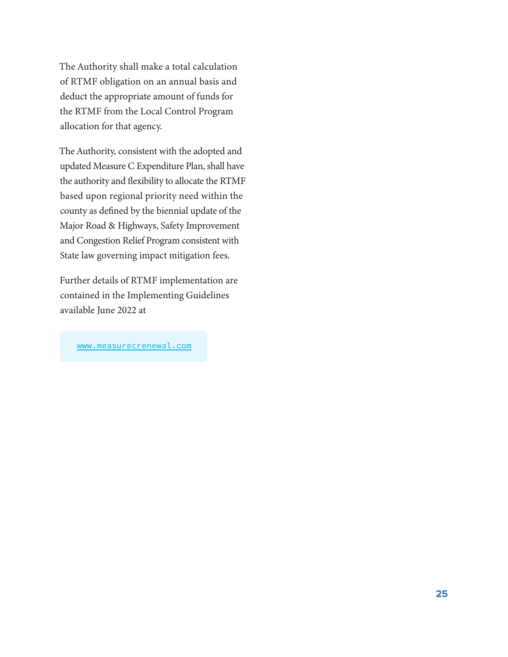The Authority shall make a total calculation of RTMF obligation on an annual basis and deduct the appropriate amount of funds for the RTMF from the Local Control Program allocation for that agency.

The Authority, consistent with the adopted and updated Measure C Expenditure Plan, shall have the authority and flexibility to allocate the RTMF based upon regional priority need within the county as defined by the biennial update of the Major Road & Highways, Safety Improvement and Congestion Relief Program consistent with State law governing impact mitigation fees.

Further details of RTMF implementation are contained in the Implementing Guidelines available June 2022 at

[www.measurecrenewal.com](http://www.measurecrenewal.com)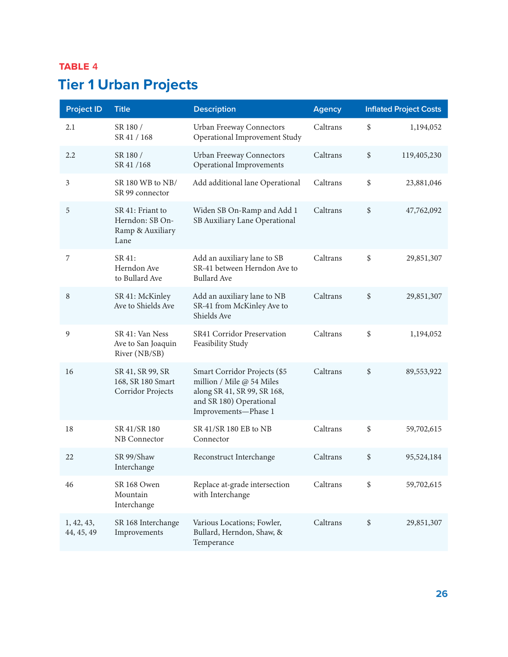<span id="page-25-0"></span>

| <b>Project ID</b>        | <b>Title</b>                                                    | <b>Description</b>                                                                                                                          | <b>Agency</b> |      | <b>Inflated Project Costs</b> |
|--------------------------|-----------------------------------------------------------------|---------------------------------------------------------------------------------------------------------------------------------------------|---------------|------|-------------------------------|
| 2.1                      | SR 180 /<br>SR 41 / 168                                         | Urban Freeway Connectors<br>Operational Improvement Study                                                                                   | Caltrans      | \$   | 1,194,052                     |
| 2.2                      | SR 180 /<br>SR 41 /168                                          | Urban Freeway Connectors<br>Operational Improvements                                                                                        | Caltrans      | $\,$ | 119,405,230                   |
| 3                        | SR 180 WB to NB/<br>SR 99 connector                             | Add additional lane Operational                                                                                                             | Caltrans      | \$   | 23,881,046                    |
| 5                        | SR 41: Friant to<br>Herndon: SB On-<br>Ramp & Auxiliary<br>Lane | Widen SB On-Ramp and Add 1<br>SB Auxiliary Lane Operational                                                                                 | Caltrans      | \$   | 47,762,092                    |
| 7                        | SR 41:<br>Herndon Ave<br>to Bullard Ave                         | Add an auxiliary lane to SB<br>SR-41 between Herndon Ave to<br><b>Bullard Ave</b>                                                           | Caltrans      | \$   | 29,851,307                    |
| 8                        | SR 41: McKinley<br>Ave to Shields Ave                           | Add an auxiliary lane to NB<br>SR-41 from McKinley Ave to<br>Shields Ave                                                                    | Caltrans      | \$   | 29,851,307                    |
| 9                        | SR 41: Van Ness<br>Ave to San Joaquin<br>River (NB/SB)          | SR41 Corridor Preservation<br>Feasibility Study                                                                                             | Caltrans      | \$   | 1,194,052                     |
| 16                       | SR 41, SR 99, SR<br>168, SR 180 Smart<br>Corridor Projects      | Smart Corridor Projects (\$5<br>million / Mile @ 54 Miles<br>along SR 41, SR 99, SR 168,<br>and SR 180) Operational<br>Improvements-Phase 1 | Caltrans      | \$   | 89,553,922                    |
| 18                       | SR 41/SR 180<br>NB Connector                                    | SR 41/SR 180 EB to NB<br>Connector                                                                                                          | Caltrans      | \$   | 59,702,615                    |
| 22                       | SR 99/Shaw<br>Interchange                                       | Reconstruct Interchange                                                                                                                     | Caltrans      | \$   | 95,524,184                    |
| 46                       | SR 168 Owen<br>Mountain<br>Interchange                          | Replace at-grade intersection<br>with Interchange                                                                                           | Caltrans      | \$   | 59,702,615                    |
| 1, 42, 43,<br>44, 45, 49 | SR 168 Interchange<br>Improvements                              | Various Locations; Fowler,<br>Bullard, Herndon, Shaw, &<br>Temperance                                                                       | Caltrans      | \$   | 29,851,307                    |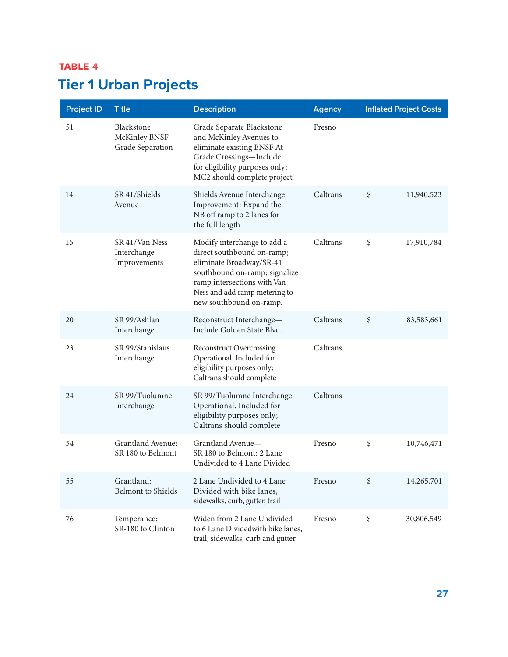| <b>Project ID</b> | <b>Title</b>                                    | <b>Description</b>                                                                                                                                                                                                | <b>Agency</b> | <b>Inflated Project Costs</b> |            |
|-------------------|-------------------------------------------------|-------------------------------------------------------------------------------------------------------------------------------------------------------------------------------------------------------------------|---------------|-------------------------------|------------|
| 51                | Blackstone<br>McKinley BNSF<br>Grade Separation | Grade Separate Blackstone<br>and McKinley Avenues to<br>eliminate existing BNSF At<br>Grade Crossings-Include<br>for eligibility purposes only;<br>MC2 should complete project                                    | Fresno        |                               |            |
| 14                | SR 41/Shields<br>Avenue                         | Shields Avenue Interchange<br>Improvement: Expand the<br>NB off ramp to 2 lanes for<br>the full length                                                                                                            | Caltrans      | \$                            | 11,940,523 |
| 15                | SR 41/Van Ness<br>Interchange<br>Improvements   | Modify interchange to add a<br>direct southbound on-ramp;<br>eliminate Broadway/SR-41<br>southbound on-ramp; signalize<br>ramp intersections with Van<br>Ness and add ramp metering to<br>new southbound on-ramp. | Caltrans      | \$                            | 17,910,784 |
| 20                | SR 99/Ashlan<br>Interchange                     | Reconstruct Interchange-<br>Include Golden State Blvd.                                                                                                                                                            | Caltrans      | \$                            | 83,583,661 |
| 23                | SR 99/Stanislaus<br>Interchange                 | <b>Reconstruct Overcrossing</b><br>Operational. Included for<br>eligibility purposes only;<br>Caltrans should complete                                                                                            | Caltrans      |                               |            |
| 24                | SR 99/Tuolumne<br>Interchange                   | SR 99/Tuolumne Interchange<br>Operational. Included for<br>eligibility purposes only;<br>Caltrans should complete                                                                                                 | Caltrans      |                               |            |
| 54                | Grantland Avenue:<br>SR 180 to Belmont          | Grantland Avenue-<br>SR 180 to Belmont: 2 Lane<br>Undivided to 4 Lane Divided                                                                                                                                     | Fresno        | \$                            | 10,746,471 |
| 55                | Grantland:<br><b>Belmont</b> to Shields         | 2 Lane Undivided to 4 Lane<br>Divided with bike lanes,<br>sidewalks, curb, gutter, trail                                                                                                                          | Fresno        | \$                            | 14,265,701 |
| 76                | Temperance:<br>SR-180 to Clinton                | Widen from 2 Lane Undivided<br>to 6 Lane Dividedwith bike lanes,<br>trail, sidewalks, curb and gutter                                                                                                             | Fresno        | \$                            | 30,806,549 |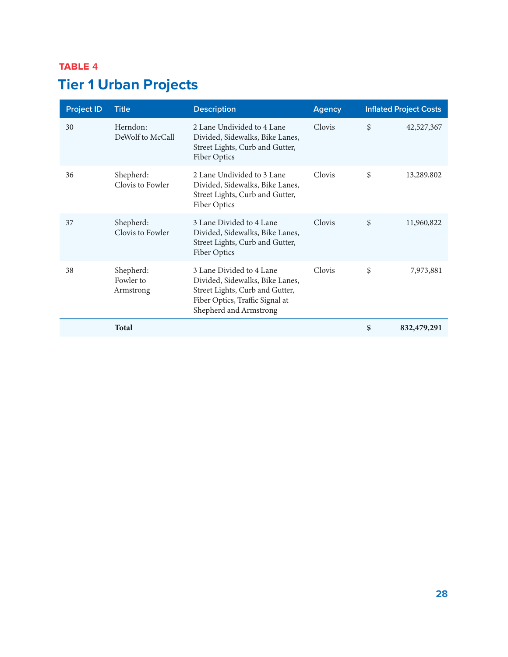| <b>Project ID</b> | <b>Title</b>                        | <b>Description</b>                                                                                                                                          | <b>Agency</b> | <b>Inflated Project Costs</b> |             |
|-------------------|-------------------------------------|-------------------------------------------------------------------------------------------------------------------------------------------------------------|---------------|-------------------------------|-------------|
| 30                | Herndon:<br>DeWolf to McCall        | 2 Lane Undivided to 4 Lane<br>Divided, Sidewalks, Bike Lanes,<br>Street Lights, Curb and Gutter,<br>Fiber Optics                                            | Clovis        | \$                            | 42,527,367  |
| 36                | Shepherd:<br>Clovis to Fowler       | 2 Lane Undivided to 3 Lane<br>Divided, Sidewalks, Bike Lanes,<br>Street Lights, Curb and Gutter,<br>Fiber Optics                                            | Clovis        | \$                            | 13,289,802  |
| 37                | Shepherd:<br>Clovis to Fowler       | 3 Lane Divided to 4 Lane<br>Divided, Sidewalks, Bike Lanes,<br>Street Lights, Curb and Gutter,<br>Fiber Optics                                              | Clovis        | \$                            | 11,960,822  |
| 38                | Shepherd:<br>Fowler to<br>Armstrong | 3 Lane Divided to 4 Lane<br>Divided, Sidewalks, Bike Lanes,<br>Street Lights, Curb and Gutter,<br>Fiber Optics, Traffic Signal at<br>Shepherd and Armstrong | Clovis        | \$                            | 7,973,881   |
|                   | <b>Total</b>                        |                                                                                                                                                             |               | \$                            | 832,479,291 |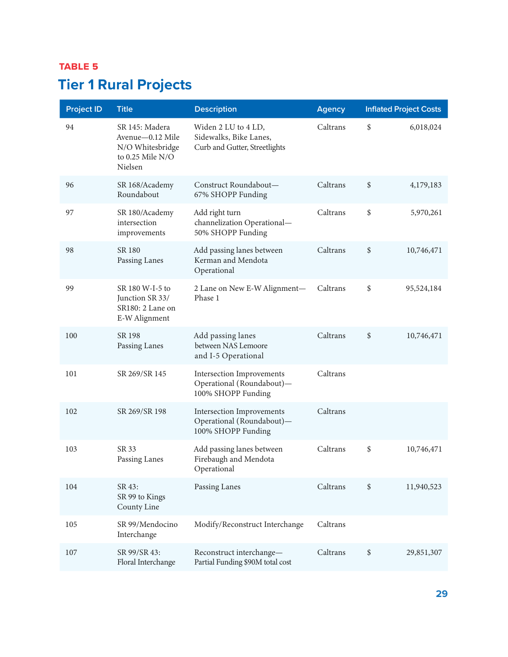## <span id="page-28-0"></span>**TABLE** 5 **Tier 1 Rural Projects**

| <b>Project ID</b> | <b>Title</b>                                                                            | <b>Description</b>                                                                  | <b>Agency</b> | <b>Inflated Project Costs</b> |
|-------------------|-----------------------------------------------------------------------------------------|-------------------------------------------------------------------------------------|---------------|-------------------------------|
| 94                | SR 145: Madera<br>Avenue-0.12 Mile<br>N/O Whitesbridge<br>to $0.25$ Mile N/O<br>Nielsen | Widen 2 LU to 4 LD,<br>Sidewalks, Bike Lanes,<br>Curb and Gutter, Streetlights      | Caltrans      | \$<br>6,018,024               |
| 96                | SR 168/Academy<br>Roundabout                                                            | Construct Roundabout-<br>67% SHOPP Funding                                          | Caltrans      | \$<br>4,179,183               |
| 97                | SR 180/Academy<br>intersection<br>improvements                                          | Add right turn<br>channelization Operational-<br>50% SHOPP Funding                  | Caltrans      | \$<br>5,970,261               |
| 98                | <b>SR 180</b><br>Passing Lanes                                                          | Add passing lanes between<br>Kerman and Mendota<br>Operational                      | Caltrans      | \$<br>10,746,471              |
| 99                | SR 180 W-I-5 to<br>Junction SR 33/<br>SR180: 2 Lane on<br>E-W Alignment                 | 2 Lane on New E-W Alignment-<br>Phase 1                                             | Caltrans      | \$<br>95,524,184              |
| 100               | SR 198<br>Passing Lanes                                                                 | Add passing lanes<br>between NAS Lemoore<br>and I-5 Operational                     | Caltrans      | \$<br>10,746,471              |
| 101               | SR 269/SR 145                                                                           | Intersection Improvements<br>Operational (Roundabout)-<br>100% SHOPP Funding        | Caltrans      |                               |
| 102               | SR 269/SR 198                                                                           | <b>Intersection Improvements</b><br>Operational (Roundabout)-<br>100% SHOPP Funding | Caltrans      |                               |
| 103               | SR 33<br>Passing Lanes                                                                  | Add passing lanes between<br>Firebaugh and Mendota<br>Operational                   | Caltrans      | \$<br>10,746,471              |
| 104               | SR 43:<br>SR 99 to Kings<br>County Line                                                 | Passing Lanes                                                                       | Caltrans      | \$<br>11,940,523              |
| 105               | SR 99/Mendocino<br>Interchange                                                          | Modify/Reconstruct Interchange                                                      | Caltrans      |                               |
| 107               | SR 99/SR 43:<br>Floral Interchange                                                      | Reconstruct interchange-<br>Partial Funding \$90M total cost                        | Caltrans      | \$<br>29,851,307              |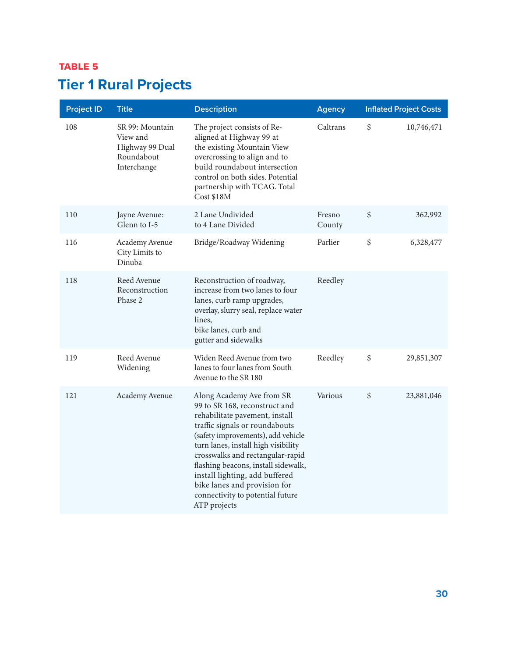## **TABLE** 5 **Tier 1 Rural Projects**

| <b>Project ID</b> | <b>Title</b>                                                                | <b>Description</b>                                                                                                                                                                                                                                                                                                                                                                                           | <b>Agency</b>    | <b>Inflated Project Costs</b> |
|-------------------|-----------------------------------------------------------------------------|--------------------------------------------------------------------------------------------------------------------------------------------------------------------------------------------------------------------------------------------------------------------------------------------------------------------------------------------------------------------------------------------------------------|------------------|-------------------------------|
| 108               | SR 99: Mountain<br>View and<br>Highway 99 Dual<br>Roundabout<br>Interchange | The project consists of Re-<br>aligned at Highway 99 at<br>the existing Mountain View<br>overcrossing to align and to<br>build roundabout intersection<br>control on both sides. Potential<br>partnership with TCAG. Total<br>Cost \$18M                                                                                                                                                                     | Caltrans         | \$<br>10,746,471              |
| 110               | Jayne Avenue:<br>Glenn to I-5                                               | 2 Lane Undivided<br>to 4 Lane Divided                                                                                                                                                                                                                                                                                                                                                                        | Fresno<br>County | \$<br>362,992                 |
| 116               | Academy Avenue<br>City Limits to<br>Dinuba                                  | Bridge/Roadway Widening                                                                                                                                                                                                                                                                                                                                                                                      | Parlier          | \$<br>6,328,477               |
| 118               | Reed Avenue<br>Reconstruction<br>Phase 2                                    | Reconstruction of roadway,<br>increase from two lanes to four<br>lanes, curb ramp upgrades,<br>overlay, slurry seal, replace water<br>lines,<br>bike lanes, curb and<br>gutter and sidewalks                                                                                                                                                                                                                 | Reedley          |                               |
| 119               | Reed Avenue<br>Widening                                                     | Widen Reed Avenue from two<br>lanes to four lanes from South<br>Avenue to the SR 180                                                                                                                                                                                                                                                                                                                         | Reedley          | \$<br>29,851,307              |
| 121               | Academy Avenue                                                              | Along Academy Ave from SR<br>99 to SR 168, reconstruct and<br>rehabilitate pavement, install<br>traffic signals or roundabouts<br>(safety improvements), add vehicle<br>turn lanes, install high visibility<br>crosswalks and rectangular-rapid<br>flashing beacons, install sidewalk,<br>install lighting, add buffered<br>bike lanes and provision for<br>connectivity to potential future<br>ATP projects | Various          | \$<br>23,881,046              |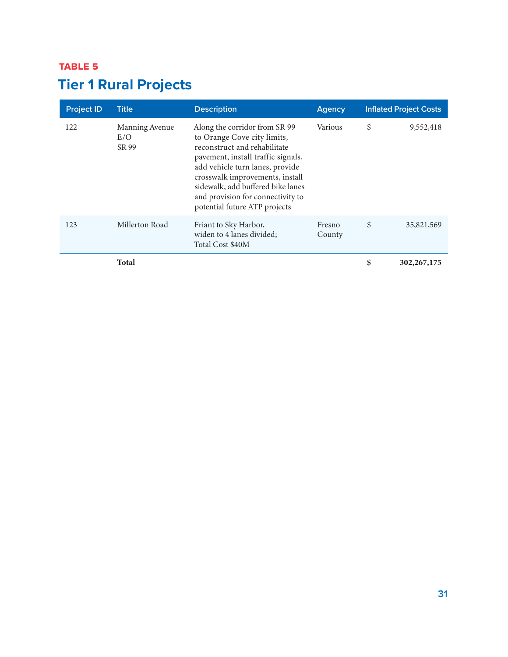## **TABLE** 5 **Tier 1 Rural Projects**

| <b>Project ID</b> | <b>Title</b>                   | <b>Description</b>                                                                                                                                                                                                                                                                                                  | Agency           | <b>Inflated Project Costs</b> |
|-------------------|--------------------------------|---------------------------------------------------------------------------------------------------------------------------------------------------------------------------------------------------------------------------------------------------------------------------------------------------------------------|------------------|-------------------------------|
| 122               | Manning Avenue<br>E/O<br>SR 99 | Along the corridor from SR 99<br>to Orange Cove city limits,<br>reconstruct and rehabilitate<br>pavement, install traffic signals,<br>add vehicle turn lanes, provide<br>crosswalk improvements, install<br>sidewalk, add buffered bike lanes<br>and provision for connectivity to<br>potential future ATP projects | Various          | \$<br>9,552,418               |
| 123               | Millerton Road                 | Friant to Sky Harbor,<br>widen to 4 lanes divided;<br>Total Cost \$40M                                                                                                                                                                                                                                              | Fresno<br>County | \$<br>35,821,569              |
|                   | <b>Total</b>                   |                                                                                                                                                                                                                                                                                                                     |                  | \$<br>302, 267, 175           |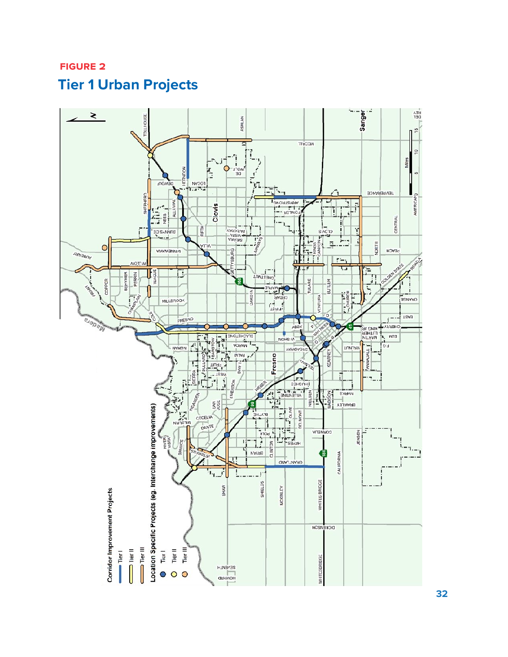## <span id="page-31-0"></span>**FIGURE 2 Tier 1 Urban Projects**

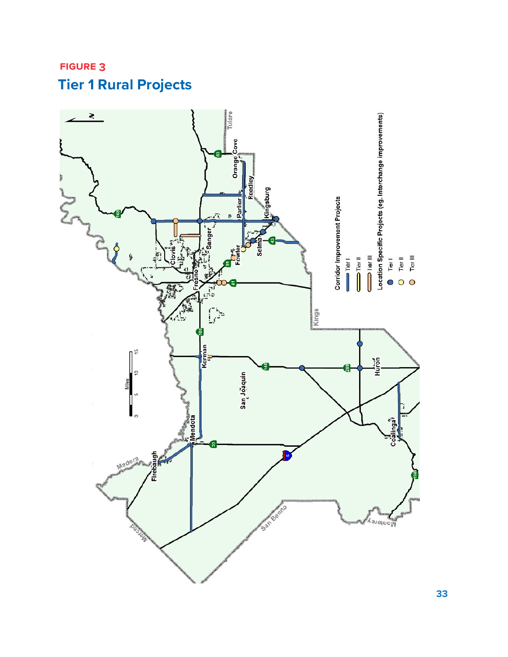

## <span id="page-32-0"></span>**FIGURE 3 Tier 1 Rural Projects**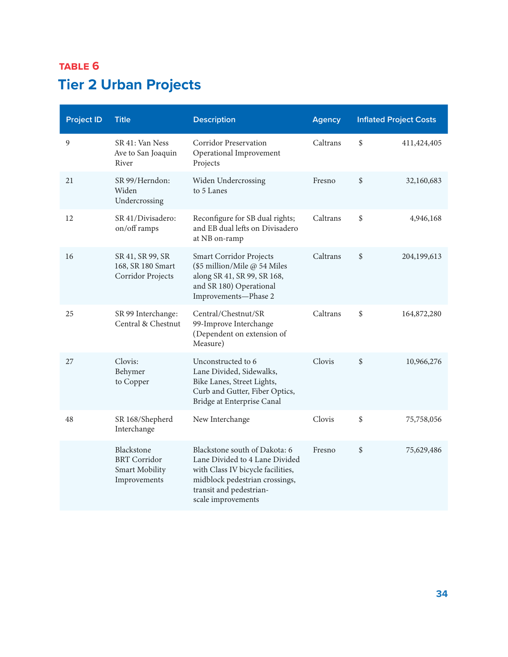<span id="page-33-0"></span>

| <b>Project ID</b> | <b>Title</b>                                                        | <b>Description</b>                                                                                                                                                                      | <b>Agency</b> | <b>Inflated Project Costs</b> |               |
|-------------------|---------------------------------------------------------------------|-----------------------------------------------------------------------------------------------------------------------------------------------------------------------------------------|---------------|-------------------------------|---------------|
| $\overline{9}$    | SR 41: Van Ness<br>Ave to San Joaquin<br>River                      | <b>Corridor Preservation</b><br>Operational Improvement<br>Projects                                                                                                                     | Caltrans      | \$                            | 411, 424, 405 |
| 21                | SR 99/Herndon:<br>Widen<br>Undercrossing                            | Widen Undercrossing<br>to 5 Lanes                                                                                                                                                       | Fresno        | \$                            | 32,160,683    |
| 12                | SR 41/Divisadero:<br>on/off ramps                                   | Reconfigure for SB dual rights;<br>and EB dual lefts on Divisadero<br>at NB on-ramp                                                                                                     | Caltrans      | \$                            | 4,946,168     |
| 16                | SR 41, SR 99, SR<br>168, SR 180 Smart<br>Corridor Projects          | <b>Smart Corridor Projects</b><br>(\$5 million/Mile @ 54 Miles<br>along SR 41, SR 99, SR 168,<br>and SR 180) Operational<br>Improvements-Phase 2                                        | Caltrans      | \$                            | 204,199,613   |
| 25                | SR 99 Interchange:<br>Central & Chestnut                            | Central/Chestnut/SR<br>99-Improve Interchange<br>(Dependent on extension of<br>Measure)                                                                                                 | Caltrans      | \$                            | 164,872,280   |
| 27                | Clovis:<br>Behymer<br>to Copper                                     | Unconstructed to 6<br>Lane Divided, Sidewalks,<br>Bike Lanes, Street Lights,<br>Curb and Gutter, Fiber Optics,<br>Bridge at Enterprise Canal                                            | Clovis        | \$                            | 10,966,276    |
| 48                | SR 168/Shepherd<br>Interchange                                      | New Interchange                                                                                                                                                                         | Clovis        | \$                            | 75,758,056    |
|                   | Blackstone<br><b>BRT</b> Corridor<br>Smart Mobility<br>Improvements | Blackstone south of Dakota: 6<br>Lane Divided to 4 Lane Divided<br>with Class IV bicycle facilities,<br>midblock pedestrian crossings,<br>transit and pedestrian-<br>scale improvements | Fresno        | \$                            | 75,629,486    |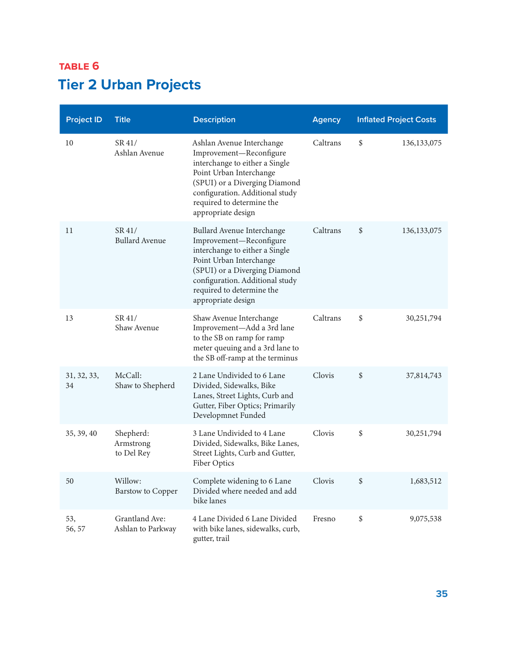| <b>Project ID</b> | <b>Title</b>                         | <b>Description</b>                                                                                                                                                                                                                        | <b>Agency</b> | <b>Inflated Project Costs</b> |
|-------------------|--------------------------------------|-------------------------------------------------------------------------------------------------------------------------------------------------------------------------------------------------------------------------------------------|---------------|-------------------------------|
| 10                | SR41/<br>Ashlan Avenue               | Ashlan Avenue Interchange<br>Improvement-Reconfigure<br>interchange to either a Single<br>Point Urban Interchange<br>(SPUI) or a Diverging Diamond<br>configuration. Additional study<br>required to determine the<br>appropriate design  | Caltrans      | \$<br>136, 133, 075           |
| 11                | SR 41/<br><b>Bullard Avenue</b>      | Bullard Avenue Interchange<br>Improvement-Reconfigure<br>interchange to either a Single<br>Point Urban Interchange<br>(SPUI) or a Diverging Diamond<br>configuration. Additional study<br>required to determine the<br>appropriate design | Caltrans      | \$<br>136, 133, 075           |
| 13                | SR 41/<br>Shaw Avenue                | Shaw Avenue Interchange<br>Improvement-Add a 3rd lane<br>to the SB on ramp for ramp<br>meter queuing and a 3rd lane to<br>the SB off-ramp at the terminus                                                                                 | Caltrans      | \$<br>30,251,794              |
| 31, 32, 33,<br>34 | McCall:<br>Shaw to Shepherd          | 2 Lane Undivided to 6 Lane<br>Divided, Sidewalks, Bike<br>Lanes, Street Lights, Curb and<br>Gutter, Fiber Optics; Primarily<br>Developmnet Funded                                                                                         | Clovis        | \$<br>37,814,743              |
| 35, 39, 40        | Shepherd:<br>Armstrong<br>to Del Rey | 3 Lane Undivided to 4 Lane<br>Divided, Sidewalks, Bike Lanes,<br>Street Lights, Curb and Gutter,<br>Fiber Optics                                                                                                                          | Clovis        | \$<br>30,251,794              |
| 50                | Willow:<br><b>Barstow</b> to Copper  | Complete widening to 6 Lane<br>Divided where needed and add<br>bike lanes                                                                                                                                                                 | Clovis        | \$<br>1,683,512               |
| 53,<br>56, 57     | Grantland Ave:<br>Ashlan to Parkway  | 4 Lane Divided 6 Lane Divided<br>with bike lanes, sidewalks, curb,<br>gutter, trail                                                                                                                                                       | Fresno        | \$<br>9,075,538               |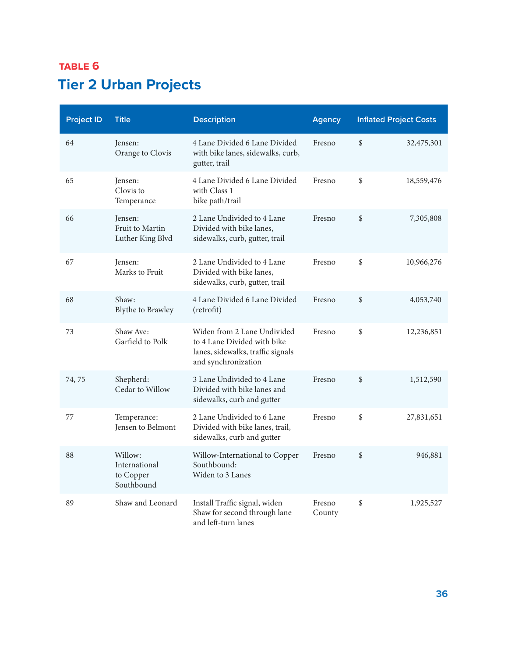| <b>Project ID</b> | <b>Title</b>                                        | <b>Description</b>                                                                                                     | <b>Agency</b>    | <b>Inflated Project Costs</b> |            |
|-------------------|-----------------------------------------------------|------------------------------------------------------------------------------------------------------------------------|------------------|-------------------------------|------------|
| 64                | Jensen:<br>Orange to Clovis                         | 4 Lane Divided 6 Lane Divided<br>with bike lanes, sidewalks, curb,<br>gutter, trail                                    | Fresno           | \$                            | 32,475,301 |
| 65                | Jensen:<br>Clovis to<br>Temperance                  | 4 Lane Divided 6 Lane Divided<br>with Class 1<br>bike path/trail                                                       | Fresno           | \$                            | 18,559,476 |
| 66                | Jensen:<br>Fruit to Martin<br>Luther King Blvd      | 2 Lane Undivided to 4 Lane<br>Divided with bike lanes,<br>sidewalks, curb, gutter, trail                               | Fresno           | \$                            | 7,305,808  |
| 67                | Jensen:<br>Marks to Fruit                           | 2 Lane Undivided to 4 Lane<br>Divided with bike lanes,<br>sidewalks, curb, gutter, trail                               | Fresno           | \$                            | 10,966,276 |
| 68                | Shaw:<br><b>Blythe to Brawley</b>                   | 4 Lane Divided 6 Lane Divided<br>(retrofit)                                                                            | Fresno           | \$                            | 4,053,740  |
| 73                | Shaw Ave:<br>Garfield to Polk                       | Widen from 2 Lane Undivided<br>to 4 Lane Divided with bike<br>lanes, sidewalks, traffic signals<br>and synchronization | Fresno           | \$                            | 12,236,851 |
| 74,75             | Shepherd:<br>Cedar to Willow                        | 3 Lane Undivided to 4 Lane<br>Divided with bike lanes and<br>sidewalks, curb and gutter                                | Fresno           | \$                            | 1,512,590  |
| 77                | Temperance:<br>Jensen to Belmont                    | 2 Lane Undivided to 6 Lane<br>Divided with bike lanes, trail,<br>sidewalks, curb and gutter                            | Fresno           | \$                            | 27,831,651 |
| 88                | Willow:<br>International<br>to Copper<br>Southbound | Willow-International to Copper<br>Southbound:<br>Widen to 3 Lanes                                                      | Fresno           | \$                            | 946,881    |
| 89                | Shaw and Leonard                                    | Install Traffic signal, widen<br>Shaw for second through lane<br>and left-turn lanes                                   | Fresno<br>County | \$                            | 1,925,527  |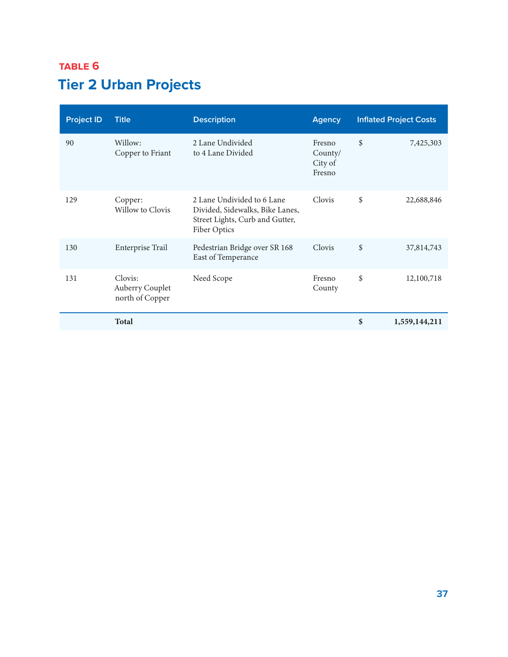| <b>Project ID</b> | <b>Title</b>                                  | <b>Description</b>                                                                                               | <b>Agency</b>                          | <b>Inflated Project Costs</b> |
|-------------------|-----------------------------------------------|------------------------------------------------------------------------------------------------------------------|----------------------------------------|-------------------------------|
| 90                | Willow:<br>Copper to Friant                   | 2 Lane Undivided<br>to 4 Lane Divided                                                                            | Fresno<br>County/<br>City of<br>Fresno | \$<br>7,425,303               |
| 129               | Copper:<br>Willow to Clovis                   | 2 Lane Undivided to 6 Lane<br>Divided, Sidewalks, Bike Lanes,<br>Street Lights, Curb and Gutter,<br>Fiber Optics | Clovis                                 | \$<br>22,688,846              |
| 130               | Enterprise Trail                              | Pedestrian Bridge over SR 168<br>East of Temperance                                                              | Clovis                                 | \$<br>37,814,743              |
| 131               | Clovis:<br>Auberry Couplet<br>north of Copper | Need Scope                                                                                                       | Fresno<br>County                       | \$<br>12,100,718              |
|                   | <b>Total</b>                                  |                                                                                                                  |                                        | \$<br>1,559,144,211           |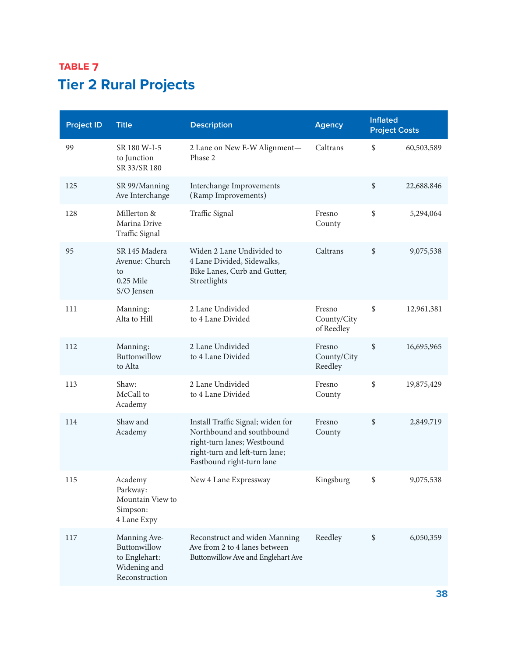## <span id="page-37-0"></span>**TABLE 7 Tier 2 Rural Projects**

| <b>Project ID</b> | <b>Title</b>                                                                    | <b>Description</b>                                                                                                                                           | <b>Agency</b>                       | <b>Inflated</b><br><b>Project Costs</b> |            |
|-------------------|---------------------------------------------------------------------------------|--------------------------------------------------------------------------------------------------------------------------------------------------------------|-------------------------------------|-----------------------------------------|------------|
| 99                | SR 180 W-I-5<br>to Junction<br>SR 33/SR 180                                     | 2 Lane on New E-W Alignment-<br>Phase 2                                                                                                                      | Caltrans                            | \$                                      | 60,503,589 |
| 125               | SR 99/Manning<br>Ave Interchange                                                | Interchange Improvements<br>(Ramp Improvements)                                                                                                              |                                     | \$                                      | 22,688,846 |
| 128               | Millerton &<br>Marina Drive<br>Traffic Signal                                   | Traffic Signal                                                                                                                                               | Fresno<br>County                    | \$                                      | 5,294,064  |
| 95                | SR 145 Madera<br>Avenue: Church<br>to<br>0.25 Mile<br>S/O Jensen                | Widen 2 Lane Undivided to<br>4 Lane Divided, Sidewalks,<br>Bike Lanes, Curb and Gutter,<br>Streetlights                                                      | Caltrans                            | \$                                      | 9,075,538  |
| 111               | Manning:<br>Alta to Hill                                                        | 2 Lane Undivided<br>to 4 Lane Divided                                                                                                                        | Fresno<br>County/City<br>of Reedley | \$                                      | 12,961,381 |
| 112               | Manning:<br>Buttonwillow<br>to Alta                                             | 2 Lane Undivided<br>to 4 Lane Divided                                                                                                                        | Fresno<br>County/City<br>Reedley    | \$                                      | 16,695,965 |
| 113               | Shaw:<br>McCall to<br>Academy                                                   | 2 Lane Undivided<br>to 4 Lane Divided                                                                                                                        | Fresno<br>County                    | \$                                      | 19,875,429 |
| 114               | Shaw and<br>Academy                                                             | Install Traffic Signal; widen for<br>Northbound and southbound<br>right-turn lanes; Westbound<br>right-turn and left-turn lane;<br>Eastbound right-turn lane | Fresno<br>County                    | \$                                      | 2,849,719  |
| 115               | Academy<br>Parkway:<br>Mountain View to<br>Simpson:<br>4 Lane Expy              | New 4 Lane Expressway                                                                                                                                        | Kingsburg                           | \$                                      | 9,075,538  |
| 117               | Manning Ave-<br>Buttonwillow<br>to Englehart:<br>Widening and<br>Reconstruction | Reconstruct and widen Manning<br>Ave from 2 to 4 lanes between<br>Buttonwillow Ave and Englehart Ave                                                         | Reedley                             | \$                                      | 6,050,359  |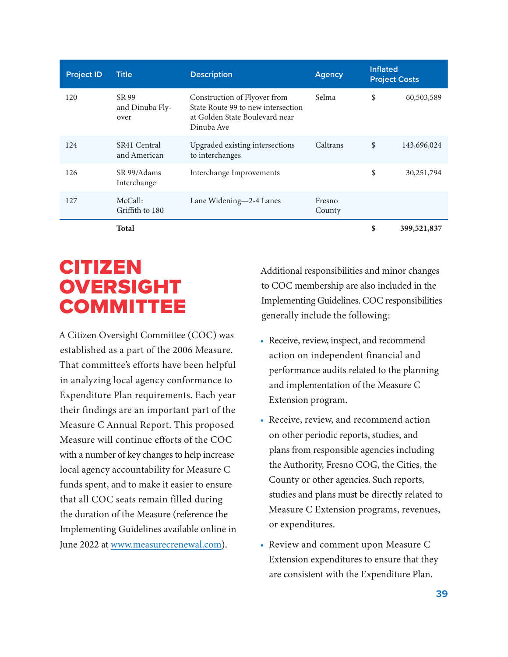<span id="page-38-0"></span>

| <b>Project ID</b> | <b>Title</b>                     | <b>Description</b>                                                                                                 | <b>Agency</b>    | <b>Inflated</b> | <b>Project Costs</b> |
|-------------------|----------------------------------|--------------------------------------------------------------------------------------------------------------------|------------------|-----------------|----------------------|
| 120               | SR 99<br>and Dinuba Fly-<br>over | Construction of Flyover from<br>State Route 99 to new intersection<br>at Golden State Boulevard near<br>Dinuba Ave | Selma            | \$              | 60,503,589           |
| 124               | SR41 Central<br>and American     | Upgraded existing intersections<br>to interchanges                                                                 | Caltrans         | \$              | 143,696,024          |
| 126               | SR 99/Adams<br>Interchange       | Interchange Improvements                                                                                           |                  | \$              | 30,251,794           |
| 127               | McCall:<br>Griffith to 180       | Lane Widening-2-4 Lanes                                                                                            | Fresno<br>County |                 |                      |
|                   | <b>Total</b>                     |                                                                                                                    |                  | \$              | 399,521,837          |

# **CITIZEN OVERSIGHT COMMITTEE**

A Citizen Oversight Committee (COC) was established as a part of the 2006 Measure. That committee's efforts have been helpful in analyzing local agency conformance to Expenditure Plan requirements. Each year their findings are an important part of the Measure C Annual Report. This proposed Measure will continue efforts of the COC with a number of key changes to help increase local agency accountability for Measure C funds spent, and to make it easier to ensure that all COC seats remain filled during the duration of the Measure (reference the Implementing Guidelines available online in June 2022 at [www.measurecrenewal.com](http://www.measurecrenewal.com)).

Additional responsibilities and minor changes to COC membership are also included in the Implementing Guidelines. COC responsibilities generally include the following:

- Receive, review, inspect, and recommend action on independent financial and performance audits related to the planning and implementation of the Measure C Extension program.
- Receive, review, and recommend action on other periodic reports, studies, and plans from responsible agencies including the Authority, Fresno COG, the Cities, the County or other agencies. Such reports, studies and plans must be directly related to Measure C Extension programs, revenues, or expenditures.
- Review and comment upon Measure C Extension expenditures to ensure that they are consistent with the Expenditure Plan.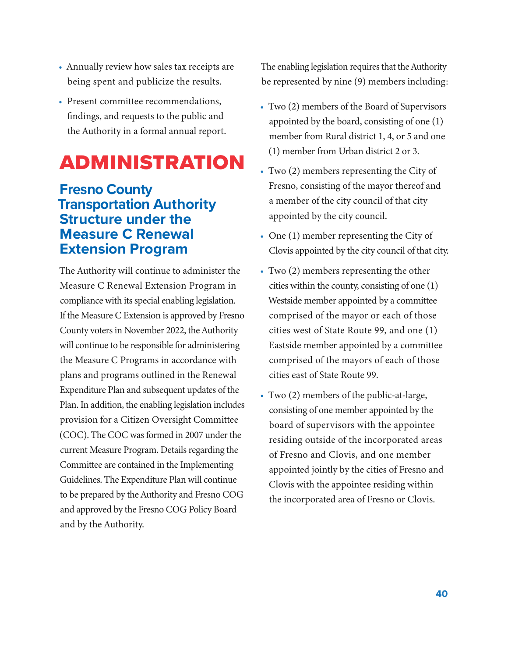- <span id="page-39-0"></span>• Annually review how sales tax receipts are being spent and publicize the results.
- Present committee recommendations, findings, and requests to the public and the Authority in a formal annual report.

# Administration

### **Fresno County Transportation Authority Structure under the Measure C Renewal Extension Program**

The Authority will continue to administer the Measure C Renewal Extension Program in compliance with its special enabling legislation. If the Measure C Extension is approved by Fresno County voters in November 2022, the Authority will continue to be responsible for administering the Measure C Programs in accordance with plans and programs outlined in the Renewal Expenditure Plan and subsequent updates of the Plan. In addition, the enabling legislation includes provision for a Citizen Oversight Committee (COC). The COC was formed in 2007 under the current Measure Program. Details regarding the Committee are contained in the Implementing Guidelines. The Expenditure Plan will continue to be prepared by the Authority and Fresno COG and approved by the Fresno COG Policy Board and by the Authority.

The enabling legislation requires that the Authority be represented by nine (9) members including:

- Two (2) members of the Board of Supervisors appointed by the board, consisting of one (1) member from Rural district 1, 4, or 5 and one (1) member from Urban district 2 or 3.
- Two (2) members representing the City of Fresno, consisting of the mayor thereof and a member of the city council of that city appointed by the city council.
- One (1) member representing the City of Clovis appointed by the city council of that city.
- Two (2) members representing the other cities within the county, consisting of one (1) Westside member appointed by a committee comprised of the mayor or each of those cities west of State Route 99, and one (1) Eastside member appointed by a committee comprised of the mayors of each of those cities east of State Route 99.
- Two (2) members of the public-at-large, consisting of one member appointed by the board of supervisors with the appointee residing outside of the incorporated areas of Fresno and Clovis, and one member appointed jointly by the cities of Fresno and Clovis with the appointee residing within the incorporated area of Fresno or Clovis.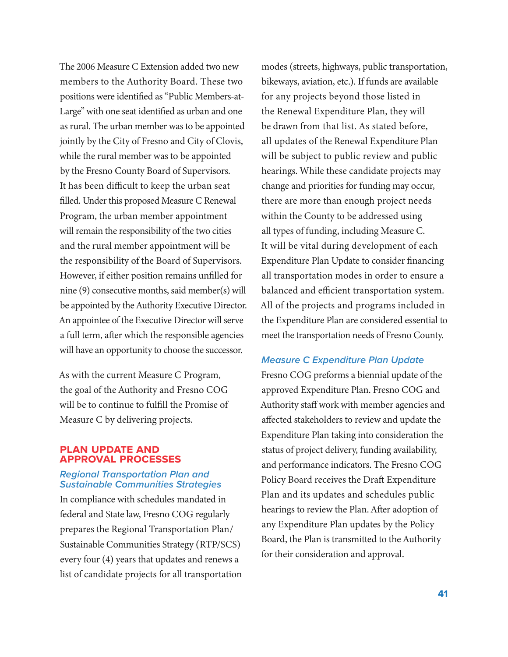The 2006 Measure C Extension added two new members to the Authority Board. These two positions were identified as "Public Members-at-Large" with one seat identified as urban and one as rural. The urban member was to be appointed jointly by the City of Fresno and City of Clovis, while the rural member was to be appointed by the Fresno County Board of Supervisors. It has been difficult to keep the urban seat filled. Under this proposed Measure C Renewal Program, the urban member appointment will remain the responsibility of the two cities and the rural member appointment will be the responsibility of the Board of Supervisors. However, if either position remains unfilled for nine (9) consecutive months, said member(s) will be appointed by the Authority Executive Director. An appointee of the Executive Director will serve a full term, after which the responsible agencies will have an opportunity to choose the successor.

As with the current Measure C Program, the goal of the Authority and Fresno COG will be to continue to fulfill the Promise of Measure C by delivering projects.

#### **Plan Update and Approval Processes**

#### *Regional Transportation Plan and Sustainable Communities Strategies*

In compliance with schedules mandated in federal and State law, Fresno COG regularly prepares the Regional Transportation Plan/ Sustainable Communities Strategy (RTP/SCS) every four (4) years that updates and renews a list of candidate projects for all transportation modes (streets, highways, public transportation, bikeways, aviation, etc.). If funds are available for any projects beyond those listed in the Renewal Expenditure Plan, they will be drawn from that list. As stated before, all updates of the Renewal Expenditure Plan will be subject to public review and public hearings. While these candidate projects may change and priorities for funding may occur, there are more than enough project needs within the County to be addressed using all types of funding, including Measure C. It will be vital during development of each Expenditure Plan Update to consider financing all transportation modes in order to ensure a balanced and efficient transportation system. All of the projects and programs included in the Expenditure Plan are considered essential to meet the transportation needs of Fresno County.

#### *Measure C Expenditure Plan Update*

Fresno COG preforms a biennial update of the approved Expenditure Plan. Fresno COG and Authority staff work with member agencies and affected stakeholders to review and update the Expenditure Plan taking into consideration the status of project delivery, funding availability, and performance indicators. The Fresno COG Policy Board receives the Draft Expenditure Plan and its updates and schedules public hearings to review the Plan. After adoption of any Expenditure Plan updates by the Policy Board, the Plan is transmitted to the Authority for their consideration and approval.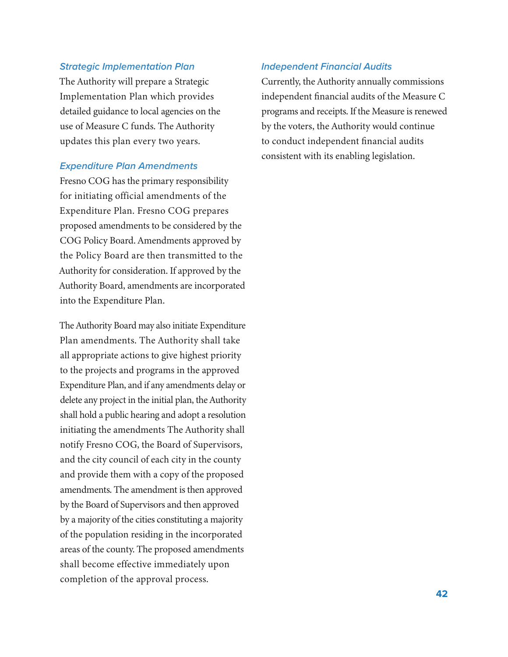#### *Strategic Implementation Plan*

The Authority will prepare a Strategic Implementation Plan which provides detailed guidance to local agencies on the use of Measure C funds. The Authority updates this plan every two years.

#### *Expenditure Plan Amendments*

Fresno COG has the primary responsibility for initiating official amendments of the Expenditure Plan. Fresno COG prepares proposed amendments to be considered by the COG Policy Board. Amendments approved by the Policy Board are then transmitted to the Authority for consideration. If approved by the Authority Board, amendments are incorporated into the Expenditure Plan.

The Authority Board may also initiate Expenditure Plan amendments. The Authority shall take all appropriate actions to give highest priority to the projects and programs in the approved Expenditure Plan, and if any amendments delay or delete any project in the initial plan, the Authority shall hold a public hearing and adopt a resolution initiating the amendments The Authority shall notify Fresno COG, the Board of Supervisors, and the city council of each city in the county and provide them with a copy of the proposed amendments. The amendment is then approved by the Board of Supervisors and then approved by a majority of the cities constituting a majority of the population residing in the incorporated areas of the county. The proposed amendments shall become effective immediately upon completion of the approval process.

#### *Independent Financial Audits*

Currently, the Authority annually commissions independent financial audits of the Measure C programs and receipts. If the Measure is renewed by the voters, the Authority would continue to conduct independent financial audits consistent with its enabling legislation.